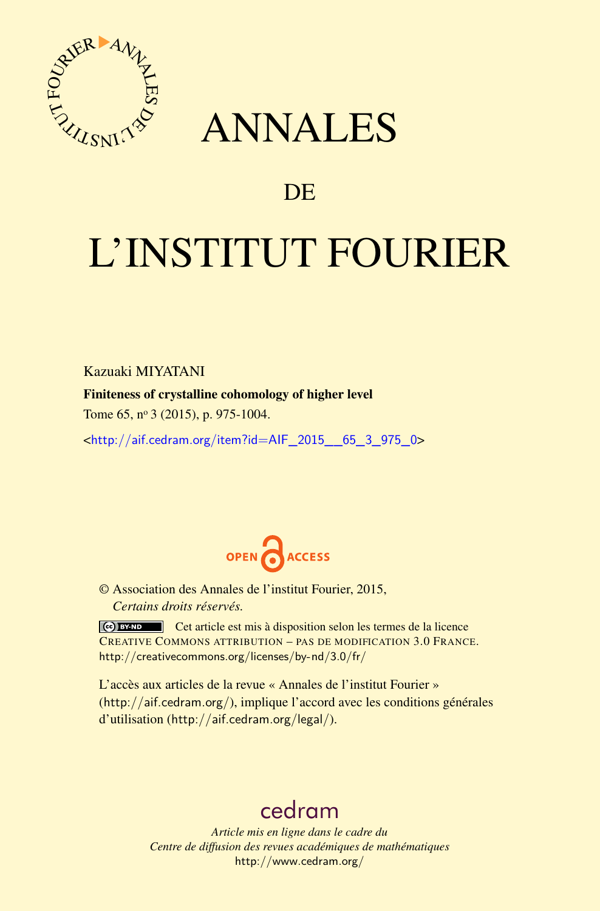

## ANNALES

### **DE**

# L'INSTITUT FOURIER

Kazuaki MIYATANI

#### Finiteness of crystalline cohomology of higher level

Tome 65, nº 3 (2015), p. 975-1004.

<[http://aif.cedram.org/item?id=AIF\\_2015\\_\\_65\\_3\\_975\\_0](http://aif.cedram.org/item?id=AIF_2015__65_3_975_0)>



© Association des Annales de l'institut Fourier, 2015, *Certains droits réservés.*

Cet article est mis à disposition selon les termes de la licence CREATIVE COMMONS ATTRIBUTION – PAS DE MODIFICATION 3.0 FRANCE. <http://creativecommons.org/licenses/by-nd/3.0/fr/>

L'accès aux articles de la revue « Annales de l'institut Fourier » (<http://aif.cedram.org/>), implique l'accord avec les conditions générales d'utilisation (<http://aif.cedram.org/legal/>).

## [cedram](http://www.cedram.org/)

*Article mis en ligne dans le cadre du Centre de diffusion des revues académiques de mathématiques* <http://www.cedram.org/>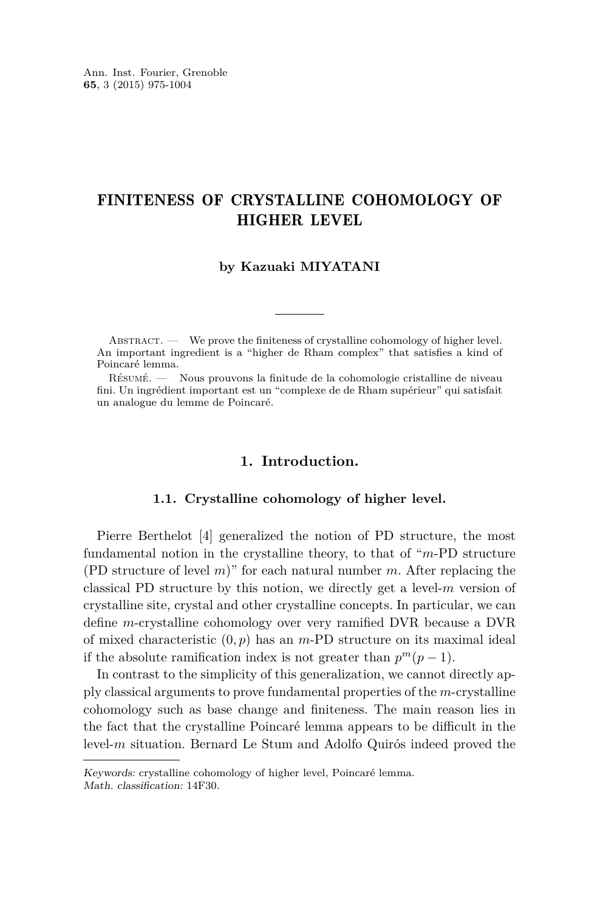#### FINITENESS OF CRYSTALLINE COHOMOLOGY OF HIGHER LEVEL

#### **by Kazuaki MIYATANI**

ABSTRACT. — We prove the finiteness of crystalline cohomology of higher level. An important ingredient is a "higher de Rham complex" that satisfies a kind of Poincaré lemma.

Résumé. — Nous prouvons la finitude de la cohomologie cristalline de niveau fini. Un ingrédient important est un "complexe de de Rham supérieur" qui satisfait un analogue du lemme de Poincaré.

#### **1. Introduction.**

#### **1.1. Crystalline cohomology of higher level.**

Pierre Berthelot [\[4\]](#page-29-0) generalized the notion of PD structure, the most fundamental notion in the crystalline theory, to that of "*m*-PD structure (PD structure of level *m*)" for each natural number *m*. After replacing the classical PD structure by this notion, we directly get a level-*m* version of crystalline site, crystal and other crystalline concepts. In particular, we can define *m*-crystalline cohomology over very ramified DVR because a DVR of mixed characteristic (0*, p*) has an *m*-PD structure on its maximal ideal if the absolute ramification index is not greater than  $p^m(p-1)$ .

In contrast to the simplicity of this generalization, we cannot directly apply classical arguments to prove fundamental properties of the *m*-crystalline cohomology such as base change and finiteness. The main reason lies in the fact that the crystalline Poincaré lemma appears to be difficult in the level-*m* situation. Bernard Le Stum and Adolfo Quirós indeed proved the

Keywords: crystalline cohomology of higher level, Poincaré lemma. Math. classification: 14F30.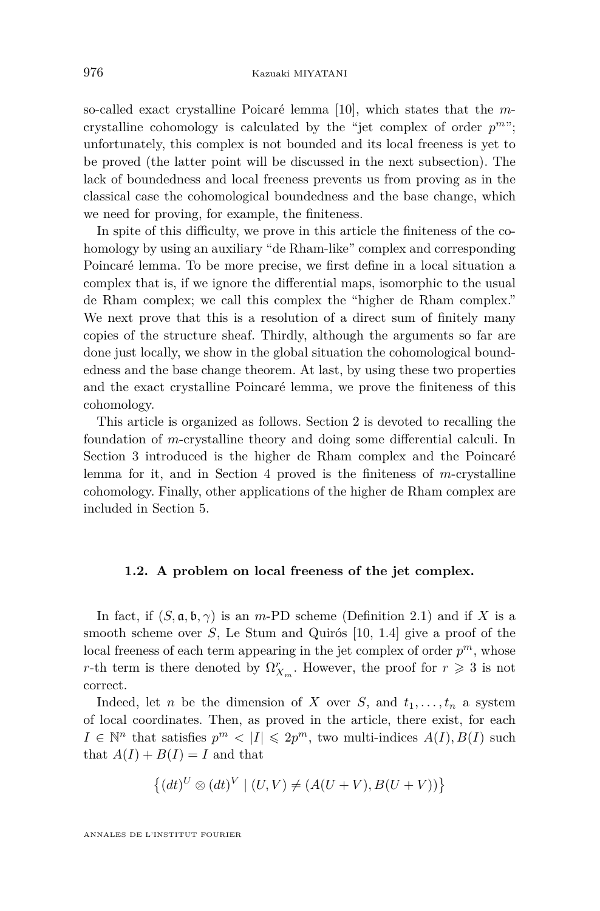<span id="page-2-0"></span>so-called exact crystalline Poicaré lemma [\[10\]](#page-29-0), which states that the *m*crystalline cohomology is calculated by the "jet complex of order *p <sup>m</sup>*"; unfortunately, this complex is not bounded and its local freeness is yet to be proved (the latter point will be discussed in the next subsection). The lack of boundedness and local freeness prevents us from proving as in the classical case the cohomological boundedness and the base change, which we need for proving, for example, the finiteness.

In spite of this difficulty, we prove in this article the finiteness of the cohomology by using an auxiliary "de Rham-like" complex and corresponding Poincaré lemma. To be more precise, we first define in a local situation a complex that is, if we ignore the differential maps, isomorphic to the usual de Rham complex; we call this complex the "higher de Rham complex." We next prove that this is a resolution of a direct sum of finitely many copies of the structure sheaf. Thirdly, although the arguments so far are done just locally, we show in the global situation the cohomological boundedness and the base change theorem. At last, by using these two properties and the exact crystalline Poincaré lemma, we prove the finiteness of this cohomology.

This article is organized as follows. Section 2 is devoted to recalling the foundation of *m*-crystalline theory and doing some differential calculi. In Section 3 introduced is the higher de Rham complex and the Poincaré lemma for it, and in Section 4 proved is the finiteness of *m*-crystalline cohomology. Finally, other applications of the higher de Rham complex are included in Section 5.

#### **1.2. A problem on local freeness of the jet complex.**

In fact, if  $(S, \mathfrak{a}, \mathfrak{b}, \gamma)$  is an *m*-PD scheme (Definition [2.1\)](#page-5-0) and if X is a smooth scheme over *S*, Le Stum and Quirós [\[10,](#page-29-0) 1.4] give a proof of the local freeness of each term appearing in the jet complex of order *p <sup>m</sup>*, whose *r*-th term is there denoted by  $\Omega_{X_m}^r$ . However, the proof for  $r \geq 3$  is not correct.

Indeed, let *n* be the dimension of *X* over *S*, and  $t_1, \ldots, t_n$  a system of local coordinates. Then, as proved in the article, there exist, for each  $I \in \mathbb{N}^n$  that satisfies  $p^m < |I| \leq 2p^m$ , two multi-indices  $A(I), B(I)$  such that  $A(I) + B(I) = I$  and that

$$
\{(dt)^U \otimes (dt)^V \mid (U, V) \neq (A(U + V), B(U + V))\}
$$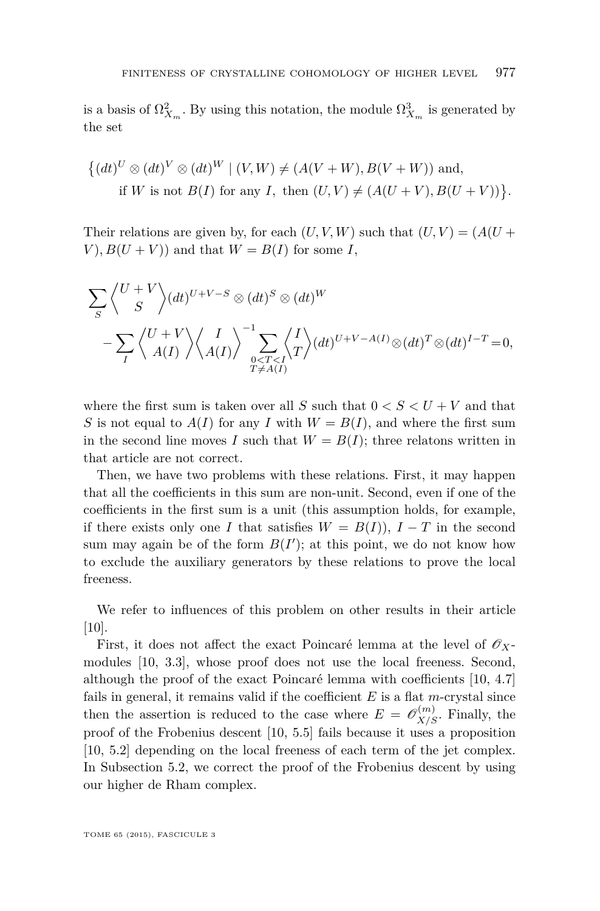is a basis of  $\Omega^2_{X_m}$ . By using this notation, the module  $\Omega^3_{X_m}$  is generated by the set

$$
\{(dt)^U \otimes (dt)^V \otimes (dt)^W \mid (V, W) \neq (A(V+W), B(V+W)) \text{ and,}
$$
  
if W is not  $B(I)$  for any I, then  $(U, V) \neq (A(U+V), B(U+V))\}.$ 

Their relations are given by, for each  $(U, V, W)$  such that  $(U, V) = (A(U +$ *V*),  $B(U + V)$  and that  $W = B(I)$  for some *I*,

$$
\sum_{S} \left\langle \begin{matrix} U+V \\ S \end{matrix} \right\rangle (dt)^{U+V-S} \otimes (dt)^{S} \otimes (dt)^{W}
$$
  

$$
-\sum_{I} \left\langle \begin{matrix} U+V \\ A(I) \end{matrix} \right\rangle \left\langle \begin{matrix} I \\ A(I) \end{matrix} \right\rangle \sum_{\substack{0 \le T \le I \\ T \ne A(I)}} \left\langle \begin{matrix} I \\ A \end{matrix} \right\rangle (dt)^{U+V-A(I)} \otimes (dt)^{T} \otimes (dt)^{I-T} = 0,
$$

where the first sum is taken over all *S* such that  $0 < S < U + V$  and that *S* is not equal to  $A(I)$  for any *I* with  $W = B(I)$ , and where the first sum in the second line moves *I* such that  $W = B(I)$ ; three relatons written in that article are not correct.

Then, we have two problems with these relations. First, it may happen that all the coefficients in this sum are non-unit. Second, even if one of the coefficients in the first sum is a unit (this assumption holds, for example, if there exists only one *I* that satisfies  $W = B(I)$ ,  $I - T$  in the second sum may again be of the form  $B(I')$ ; at this point, we do not know how to exclude the auxiliary generators by these relations to prove the local freeness.

We refer to influences of this problem on other results in their article [\[10\]](#page-29-0).

First, it does not affect the exact Poincaré lemma at the level of  $\mathscr{O}_X$ modules [\[10,](#page-29-0) 3.3], whose proof does not use the local freeness. Second, although the proof of the exact Poincaré lemma with coefficients [\[10,](#page-29-0) 4.7] fails in general, it remains valid if the coefficient *E* is a flat *m*-crystal since then the assertion is reduced to the case where  $E = \mathscr{O}_{X/S}^{(m)}$ . Finally, the proof of the Frobenius descent [\[10,](#page-29-0) 5.5] fails because it uses a proposition [\[10,](#page-29-0) 5.2] depending on the local freeness of each term of the jet complex. In Subsection [5.2,](#page-26-0) we correct the proof of the Frobenius descent by using our higher de Rham complex.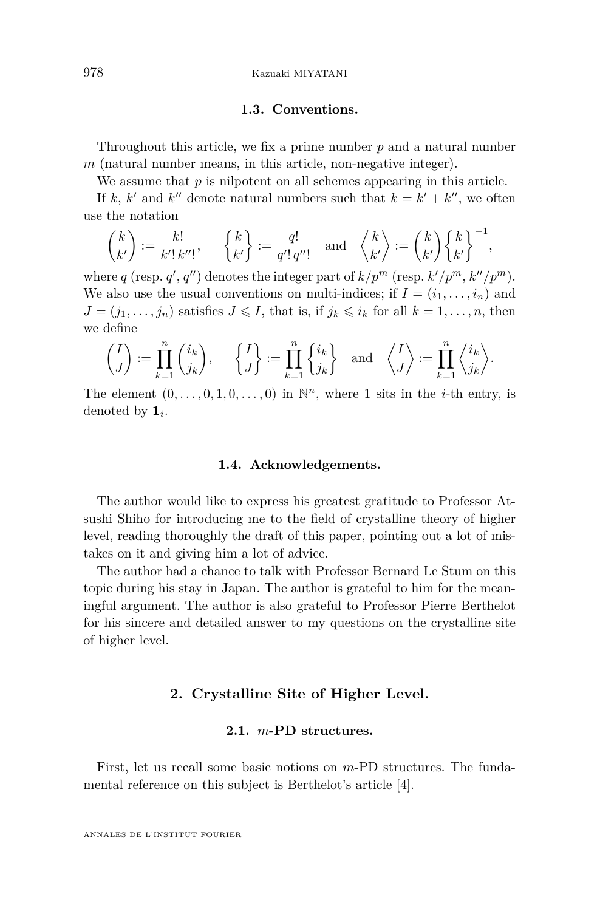<span id="page-4-0"></span>978 Kazuaki MIYATANI

#### **1.3. Conventions.**

Throughout this article, we fix a prime number *p* and a natural number *m* (natural number means, in this article, non-negative integer).

We assume that *p* is nilpotent on all schemes appearing in this article.

If *k*, *k*<sup> $\prime$ </sup> and *k*<sup> $\prime$ </sup> denote natural numbers such that  $k = k' + k''$ , we often use the notation

$$
\binom{k}{k'} := \frac{k!}{k'! \, k''!}, \qquad \binom{k}{k'} := \frac{q!}{q'! \, q''!} \quad \text{and} \quad \binom{k}{k'} := \binom{k}{k'} \binom{k}{k'}^{-1},
$$

where *q* (resp. *q'*, *q''*) denotes the integer part of  $k/p^m$  (resp.  $k'/p^m$ ,  $k''/p^m$ ). We also use the usual conventions on multi-indices; if  $I = (i_1, \ldots, i_n)$  and  $J = (j_1, \ldots, j_n)$  satisfies  $J \leqslant I$ , that is, if  $j_k \leqslant i_k$  for all  $k = 1, \ldots, n$ , then we define

$$
\begin{pmatrix} I \\ J \end{pmatrix} := \prod_{k=1}^n \binom{i_k}{j_k}, \quad \begin{cases} I \\ J \end{cases} := \prod_{k=1}^n \begin{cases} i_k \\ j_k \end{cases} \text{ and } \begin{pmatrix} I \\ J \end{pmatrix} := \prod_{k=1}^n \binom{i_k}{j_k}.
$$

The element  $(0, \ldots, 0, 1, 0, \ldots, 0)$  in  $\mathbb{N}^n$ , where 1 sits in the *i*-th entry, is denoted by **1***<sup>i</sup>* .

#### **1.4. Acknowledgements.**

The author would like to express his greatest gratitude to Professor Atsushi Shiho for introducing me to the field of crystalline theory of higher level, reading thoroughly the draft of this paper, pointing out a lot of mistakes on it and giving him a lot of advice.

The author had a chance to talk with Professor Bernard Le Stum on this topic during his stay in Japan. The author is grateful to him for the meaningful argument. The author is also grateful to Professor Pierre Berthelot for his sincere and detailed answer to my questions on the crystalline site of higher level.

#### **2. Crystalline Site of Higher Level.**

#### **2.1.** *m***-PD structures.**

First, let us recall some basic notions on *m*-PD structures. The fundamental reference on this subject is Berthelot's article [\[4\]](#page-29-0).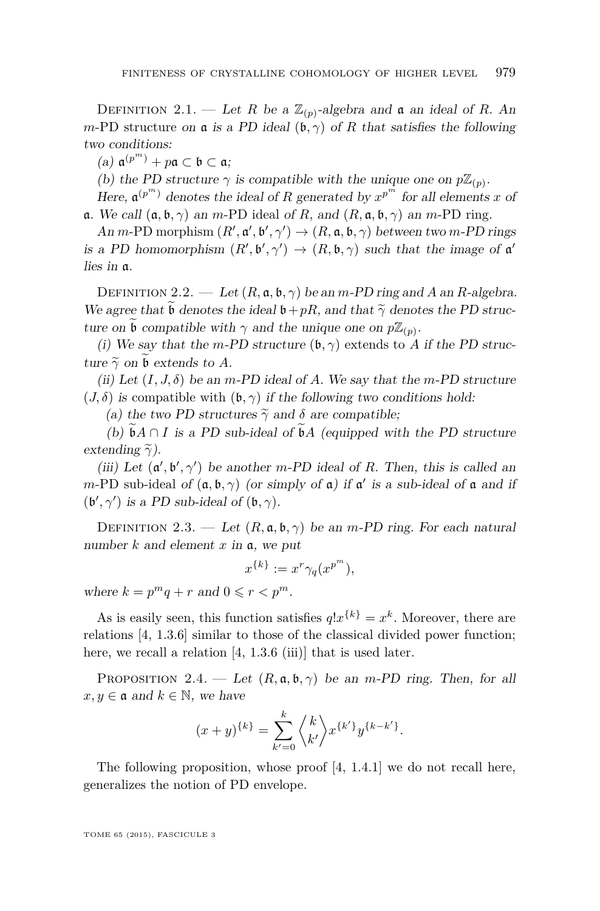<span id="page-5-0"></span>DEFINITION 2.1. — Let *R* be a  $\mathbb{Z}_{(p)}$ -algebra and **a** an ideal of *R*. An *m*-PD structure on **a** is a PD ideal  $(\mathfrak{b}, \gamma)$  of *R* that satisfies the following two conditions:

 $(a)$   $a^{(p<sup>m</sup>)} + p$ a ⊂ b ⊂ a;

(b) the PD structure  $\gamma$  is compatible with the unique one on  $p\mathbb{Z}_{(p)}$ .

Here,  $\mathfrak{a}^{(p^m)}$  denotes the ideal of *R* generated by  $x^{p^m}$  for all elements *x* of a. We call (a*,* b*, γ*) an *m*-PD ideal of *R*, and (*R,* a*,* b*, γ*) an *m*-PD ring.

 $An \, m\text{-PD morphism } (R', \mathfrak{a}', \mathfrak{b}', \gamma') \rightarrow (R, \mathfrak{a}, \mathfrak{b}, \gamma)$  between two  $m\text{-PD rings}$ is a PD homomorphism  $(R', \mathfrak{b}', \gamma') \to (R, \mathfrak{b}, \gamma)$  such that the image of  $\mathfrak{a}'$ lies in a.

DEFINITION 2.2. — Let  $(R, \mathfrak{a}, \mathfrak{b}, \gamma)$  be an *m*-PD ring and *A* an *R*-algebra. We agree that  $\mathfrak b$  denotes the ideal  $\mathfrak b+pR$ , and that  $\tilde{\gamma}$  denotes the PD structure on  $\widetilde{\mathfrak{b}}$  compatible with  $\gamma$  and the unique one on  $p\mathbb{Z}_{(p)}$ .

(i) We say that the *m*-PD structure  $(\mathfrak{b}, \gamma)$  extends to *A* if the PD structure  $\tilde{\gamma}$  on b extends to A.

(ii) Let  $(I, J, \delta)$  be an *m*-PD ideal of A. We say that the *m*-PD structure  $(J, \delta)$  is compatible with  $(\mathfrak{b}, \gamma)$  if the following two conditions hold:

(a) the two PD structures  $\tilde{\gamma}$  and  $\delta$  are compatible;

(b)  $\mathfrak{b}A \cap I$  is a PD sub-ideal of  $\mathfrak{b}A$  (equipped with the PD structure extending  $\tilde{\gamma}$ ).

(iii) Let  $(\mathfrak{a}', \mathfrak{b}', \gamma')$  be another *m*-PD ideal of *R*. Then, this is called an *m*-PD sub-ideal of  $(a, b, \gamma)$  (or simply of a) if a' is a sub-ideal of a and if  $(\mathfrak{b}', \gamma')$  is a PD sub-ideal of  $(\mathfrak{b}, \gamma)$ .

DEFINITION 2.3. — Let  $(R, \mathfrak{a}, \mathfrak{b}, \gamma)$  be an *m*-PD ring. For each natural number *k* and element *x* in a, we put

$$
x^{\{k\}} := x^r \gamma_q(x^{p^m}),
$$

where  $k = p^m q + r$  and  $0 \leq r < p^m$ .

As is easily seen, this function satisfies  $q!x^{\{k\}} = x^k$ . Moreover, there are relations [\[4,](#page-29-0) 1.3.6] similar to those of the classical divided power function; here, we recall a relation [\[4,](#page-29-0) 1.3.6 (iii)] that is used later.

PROPOSITION 2.4. — Let  $(R, \mathfrak{a}, \mathfrak{b}, \gamma)$  be an *m*-PD ring. Then, for all  $x, y \in \mathfrak{a}$  and  $k \in \mathbb{N}$ , we have

$$
(x+y)^{\{k\}} = \sum_{k'=0}^{k} \binom{k}{k'} x^{\{k'\}} y^{\{k-k'\}}.
$$

The following proposition, whose proof [\[4,](#page-29-0) 1.4.1] we do not recall here, generalizes the notion of PD envelope.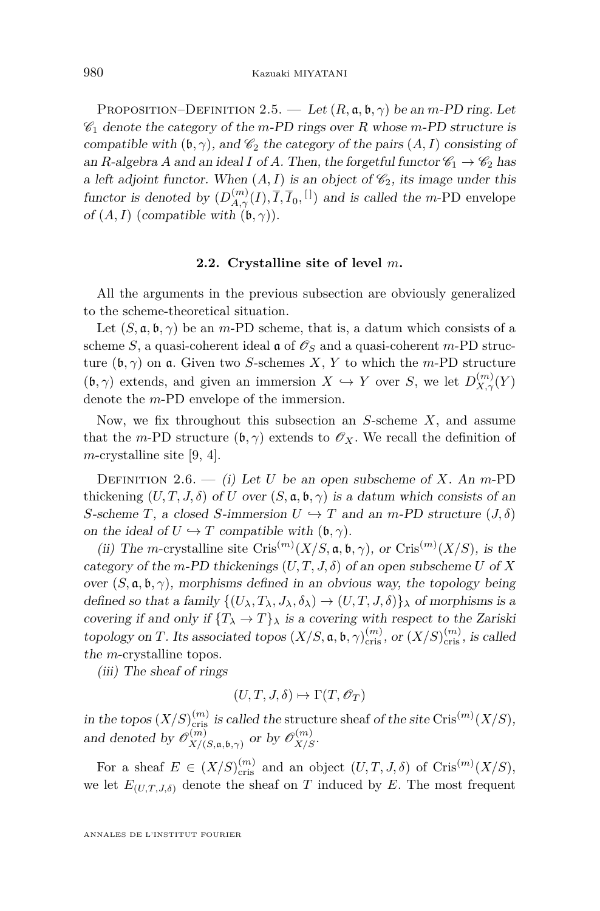PROPOSITION–DEFINITION 2.5. — Let  $(R, \mathfrak{a}, \mathfrak{b}, \gamma)$  be an *m*-PD ring. Let  $\mathscr{C}_1$  denote the category of the *m*-PD rings over *R* whose *m*-PD structure is compatible with  $(\mathfrak{b}, \gamma)$ , and  $\mathcal{C}_2$  the category of the pairs  $(A, I)$  consisting of an *R*-algebra *A* and an ideal *I* of *A*. Then, the forgetful functor  $\mathcal{C}_1 \rightarrow \mathcal{C}_2$  has a left adjoint functor. When  $(A, I)$  is an object of  $\mathcal{C}_2$ , its image under this functor is denoted by  $(D_{A,\gamma}^{(m)}(I), \overline{I}, \overline{I}_0, \overline{I})$  and is called the *m*-PD envelope of  $(A, I)$  (compatible with  $(\mathfrak{b}, \gamma)$ ).

#### **2.2. Crystalline site of level** *m***.**

All the arguments in the previous subsection are obviously generalized to the scheme-theoretical situation.

Let  $(S, \mathfrak{a}, \mathfrak{b}, \gamma)$  be an *m*-PD scheme, that is, a datum which consists of a scheme *S*, a quasi-coherent ideal  $\alpha$  of  $\mathcal{O}_S$  and a quasi-coherent *m*-PD structure  $(\mathfrak{b}, \gamma)$  on **a**. Given two *S*-schemes *X*, *Y* to which the *m*-PD structure  $(b, \gamma)$  extends, and given an immersion  $X \hookrightarrow Y$  over *S*, we let  $D_{X,\gamma}^{(m)}(Y)$ denote the *m*-PD envelope of the immersion.

Now, we fix throughout this subsection an *S*-scheme *X*, and assume that the *m*-PD structure  $(\mathfrak{b}, \gamma)$  extends to  $\mathcal{O}_X$ . We recall the definition of *m*-crystalline site [\[9,](#page-29-0) 4].

DEFINITION 2.6. — (i) Let *U* be an open subscheme of *X*. An *m*-PD thickening  $(U, T, J, \delta)$  of *U* over  $(S, \mathfrak{a}, \mathfrak{b}, \gamma)$  is a datum which consists of an *S*-scheme *T*, a closed *S*-immersion  $U \hookrightarrow T$  and an *m*-PD structure  $(J, \delta)$ on the ideal of  $U \hookrightarrow T$  compatible with  $(\mathfrak{b}, \gamma)$ .

(ii) The *m*-crystalline site Cris<sup> $(m)$ </sup> $(X/S, \mathfrak{a}, \mathfrak{b}, \gamma)$ , or Cris<sup> $(m)$ </sup> $(X/S)$ , is the category of the *m*-PD thickenings  $(U, T, J, \delta)$  of an open subscheme *U* of *X* over  $(S, \mathfrak{a}, \mathfrak{b}, \gamma)$ , morphisms defined in an obvious way, the topology being defined so that a family  $\{(U_\lambda, T_\lambda, J_\lambda, \delta_\lambda) \to (U, T, J, \delta)\}\$ covering if and only if  ${T_{\lambda} \to T}_{\lambda}$  is a covering with respect to the Zariski topology on *T*. Its associated topos  $(X/S, \mathfrak{a}, \mathfrak{b}, \gamma)_{\text{cris}}^{(m)}$ , or  $(X/S)_{\text{cris}}^{(m)}$ , is called the *m*-crystalline topos.

(iii) The sheaf of rings

$$
(U, T, J, \delta) \mapsto \Gamma(T, \mathscr{O}_T)
$$

in the topos  $(X/S)_{\text{cris}}^{(m)}$  is called the structure sheaf of the site Cris<sup>(*m*)</sup> $(X/S)$ , and denoted by  $\mathscr{O}_{X/\mathscr{O}}^{(m)}$  $X/(S, \mathfrak{a}, \mathfrak{b}, \gamma)$  or by  $\mathscr{O}_{X/S}^{(m)}$ .

For a sheaf  $E \in (X/S)_{\text{cris}}^{(m)}$  and an object  $(U, T, J, \delta)$  of Cris<sup> $(m)$ </sup> $(X/S)$ , we let  $E_{(U,T,J,\delta)}$  denote the sheaf on *T* induced by *E*. The most frequent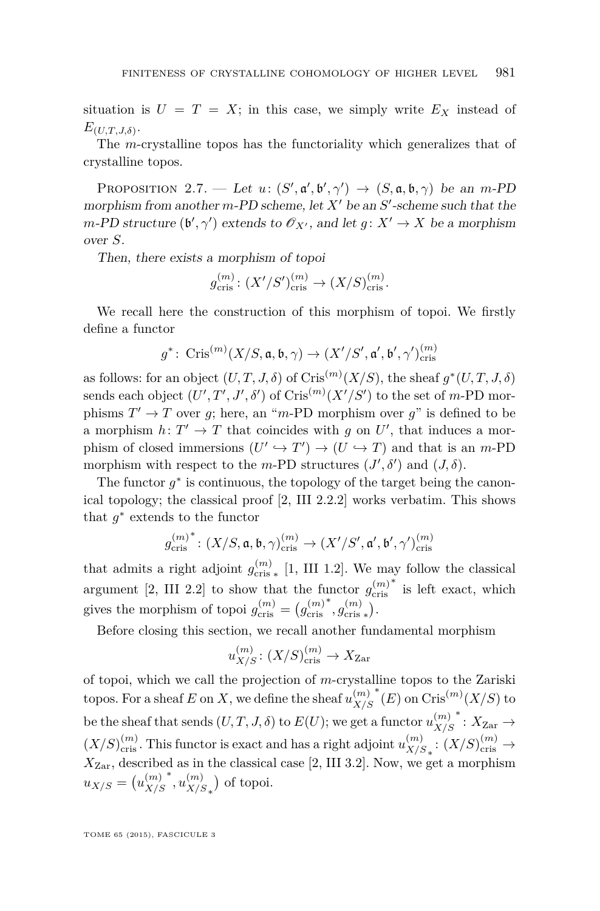<span id="page-7-0"></span>situation is  $U = T = X$ ; in this case, we simply write  $E_X$  instead of  $E_{(U,T,J,\delta)}$ .

The *m*-crystalline topos has the functoriality which generalizes that of crystalline topos.

PROPOSITION 2.7. — Let  $u: (S', \mathfrak{a}', \mathfrak{b}', \gamma') \rightarrow (S, \mathfrak{a}, \mathfrak{b}, \gamma)$  be an *m*-PD morphism from another  $m$ -PD scheme, let  $X'$  be an  $S'$ -scheme such that the *m*-PD structure  $(\mathfrak{b}', \gamma')$  extends to  $\mathcal{O}_{X'}$ , and let  $g: X' \to X$  be a morphism over *S*.

Then, there exists a morphism of topoi

$$
g_{\text{cris}}^{(m)} \colon (X'/S')_{\text{cris}}^{(m)} \to (X/S)_{\text{cris}}^{(m)}.
$$

We recall here the construction of this morphism of topoi. We firstly define a functor

$$
g^*\colon\operatorname{Cris}^{(m)}(X/S, \mathfrak{a}, \mathfrak{b}, \gamma)\to (X'/S', \mathfrak{a}', \mathfrak{b}', \gamma')^{(m)}_{\mathrm{cris}}
$$

as follows: for an object  $(U, T, J, \delta)$  of  $\text{Cris}^{(m)}(X/S)$ , the sheaf  $g^*(U, T, J, \delta)$ sends each object  $(U', T', J', \delta')$  of  $\text{Cris}^{(m)}(X'/S')$  to the set of *m*-PD morphisms  $T' \to T$  over *g*; here, an "*m*-PD morphism over *g*" is defined to be a morphism  $h: T' \to T$  that coincides with *g* on *U'*, that induces a morphism of closed immersions  $(U' \hookrightarrow T') \rightarrow (U \hookrightarrow T)$  and that is an *m*-PD morphism with respect to the *m*-PD structures  $(J', \delta')$  and  $(J, \delta)$ .

The functor  $g^*$  is continuous, the topology of the target being the canonical topology; the classical proof [\[2,](#page-29-0) III 2.2.2] works verbatim. This shows that  $g^*$  extends to the functor

$$
{g_\mathrm{cris}^{(m)}}^* \colon (X/S, \mathfrak{a}, \mathfrak{b}, \gamma)_\mathrm{cris}^{(m)} \to (X'/S', \mathfrak{a}', \mathfrak{b}', \gamma')_\mathrm{cris}^{(m)}
$$

that admits a right adjoint  $g_{\text{cris}}^{(m)}$  [\[1,](#page-29-0) III 1.2]. We may follow the classical argument [\[2,](#page-29-0) III 2.2] to show that the functor  $g_{\text{cris}}^{(m)}$ ∗ is left exact, which gives the morphism of topoi  $g_{\text{cris}}^{(m)} = (g_{\text{cris}}^{(m)}$  $^{*}, g_{\text{cris}*}^{(m)}$ .

Before closing this section, we recall another fundamental morphism

$$
u_{X/S}^{(m)} \colon (X/S)_{\text{cris}}^{(m)} \to X_{\text{Zar}}
$$

of topoi, which we call the projection of *m*-crystalline topos to the Zariski topos. For a sheaf *E* on *X*, we define the sheaf  $u_{X/S}^{(m)}$ *X/S*  $*(E)$  on  $\operatorname{Cris}^{(m)}(X/S)$  to be the sheaf that sends  $(U, T, J, \delta)$  to  $E(U)$ ; we get a functor  $u_{X/S}^{(m)}$ *X/S*  $*$ :  $X_{\text{Zar}}$  →  $(X/S)_{\text{cris}}^{(m)}$ . This functor is exact and has a right adjoint  $u_{X/S}^{(m)}$  $\binom{m}{X/S}$ :  $(X/S)_{\text{cris}}^{(m)}$  →  $X_{\text{Zar}}$ , described as in the classical case [\[2,](#page-29-0) III 3.2]. Now, we get a morphism  $u_{X/S} = (u_{X/S}^{(m)})$ *X/S* ∗ *, u* (*m*)  $\binom{m}{X/S_*}$  of topoi.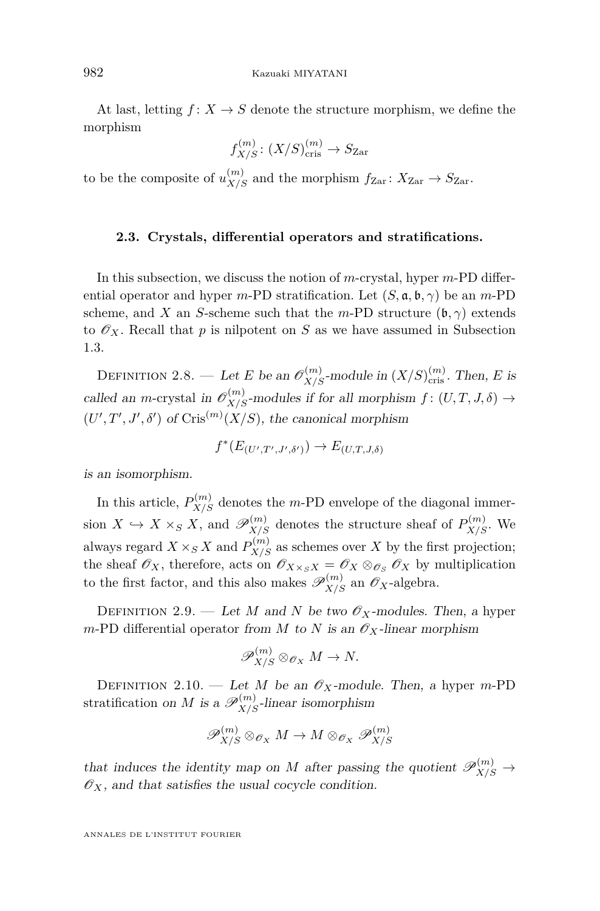At last, letting  $f: X \to S$  denote the structure morphism, we define the morphism

$$
f_{X/S}^{(m)} \colon (X/S)_{\text{cris}}^{(m)} \to S_{\text{Zar}}
$$

to be the composite of  $u_{X/S}^{(m)}$  and the morphism  $f_{\text{Zar}} \colon X_{\text{Zar}} \to S_{\text{Zar}}$ .

#### **2.3. Crystals, differential operators and stratifications.**

In this subsection, we discuss the notion of *m*-crystal, hyper *m*-PD differential operator and hyper *m*-PD stratification. Let  $(S, \mathfrak{a}, \mathfrak{b}, \gamma)$  be an *m*-PD scheme, and *X* an *S*-scheme such that the *m*-PD structure  $(b, \gamma)$  extends to  $\mathscr{O}_X$ . Recall that *p* is nilpotent on *S* as we have assumed in Subsection [1.3.](#page-4-0)

DEFINITION 2.8. — Let *E* be an  $\mathscr{O}_{X/S}^{(m)}$ -module in  $(X/S)_{\text{cris}}^{(m)}$ . Then, *E* is called an *m*-crystal in  $\mathcal{O}_{X/S}^{(m)}$ -modules if for all morphism  $f : (U, T, J, \delta) \to$  $(U', T', J', \delta')$  of Cris<sup>(*m*)</sup> $(X/S)$ , the canonical morphism

$$
f^*(E_{(U',T',J',\delta')}) \to E_{(U,T,J,\delta)}
$$

is an isomorphism.

In this article,  $P_{X/S}^{(m)}$  denotes the *m*-PD envelope of the diagonal immersion  $X \hookrightarrow X \times_S X$ , and  $\mathscr{P}_{X/S}^{(m)}$  denotes the structure sheaf of  $P_{X/S}^{(m)}$ . We always regard  $X \times_S X$  and  $P_{X/S}^{(m)}$  as schemes over *X* by the first projection; the sheaf  $\mathscr{O}_X$ , therefore, acts on  $\mathscr{O}_{X \times_S X} = \mathscr{O}_X \otimes_{\mathscr{O}_S} \mathscr{O}_X$  by multiplication to the first factor, and this also makes  $\mathscr{P}_{X/S}^{(m)}$  an  $\mathscr{O}_X$ -algebra.

DEFINITION 2.9. — Let *M* and *N* be two  $\mathscr{O}_X$ -modules. Then, a hyper *m*-PD differential operator from *M* to *N* is an  $\mathcal{O}_X$ -linear morphism

$$
\mathscr{P}_{X/S}^{(m)} \otimes_{\mathscr{O}_X} M \to N.
$$

DEFINITION 2.10. — Let *M* be an  $\mathscr{O}_X$ -module. Then, a hyper *m*-PD stratification on *M* is a  $\mathscr{P}_{X/S}^{(m)}$ -linear isomorphism

$$
\mathscr{P}_{X/S}^{(m)} \otimes_{\mathscr{O}_X} M \to M \otimes_{\mathscr{O}_X} \mathscr{P}_{X/S}^{(m)}
$$

that induces the identity map on *M* after passing the quotient  $\mathscr{P}_{X/S}^{(m)} \to$  $\mathscr{O}_X$ , and that satisfies the usual cocycle condition.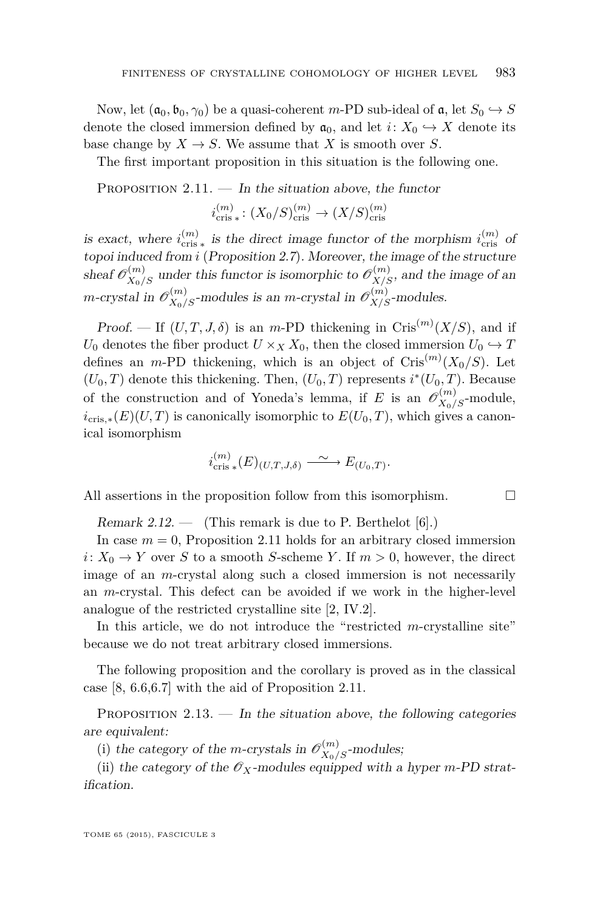<span id="page-9-0"></span>Now, let  $(a_0, b_0, \gamma_0)$  be a quasi-coherent *m*-PD sub-ideal of  $a$ , let  $S_0 \hookrightarrow S$ denote the closed immersion defined by  $a_0$ , and let  $i: X_0 \hookrightarrow X$  denote its base change by  $X \to S$ . We assume that *X* is smooth over *S*.

The first important proposition in this situation is the following one.

PROPOSITION  $2.11.$  — In the situation above, the functor

$$
i_{\text{cris}*}^{(m)}: (X_0/S)_{\text{cris}}^{(m)} \to (X/S)_{\text{cris}}^{(m)}
$$

is exact, where  $i_{\text{cris}}^{(m)}$  is the direct image functor of the morphism  $i_{\text{cris}}^{(m)}$  of topoi induced from *i* (Proposition [2.7](#page-7-0)). Moreover, the image of the structure sheaf  $\mathscr{O}_{X_0/S}^{(m)}$  under this functor is isomorphic to  $\mathscr{O}_{X/S}^{(m)}$ , and the image of an *m*-crystal in  $\mathscr{O}_{X_0/S}^{(m)}$ -modules is an *m*-crystal in  $\mathscr{O}_{X/S}^{(m)}$ -modules.

Proof. — If  $(U, T, J, \delta)$  is an *m*-PD thickening in Cris<sup>(*m*)</sup>(*X*/*S*), and if *U*<sup>0</sup> denotes the fiber product  $U \times_X X_0$ , then the closed immersion  $U_0 \hookrightarrow T$ defines an *m*-PD thickening, which is an object of  $\operatorname{Cris}^{(m)}(X_0/S)$ . Let  $(U_0, T)$  denote this thickening. Then,  $(U_0, T)$  represents  $i^*(U_0, T)$ . Because of the construction and of Yoneda's lemma, if *E* is an  $\mathscr{O}_{X_0/S}^{(m)}$ -module,  $i_{\text{cris},*}(E)(U,T)$  is canonically isomorphic to  $E(U_0,T)$ , which gives a canonical isomorphism

$$
i_{\mathrm{cris}\;*}^{(m)}(E)_{(U,T,J,\delta)} \longrightarrow E_{(U_0,T)}.
$$

All assertions in the proposition follow from this isomorphism.  $\Box$ 

Remark 2.12.  $\qquad$  (This remark is due to P. Berthelot [\[6\]](#page-29-0).)

In case  $m = 0$ , Proposition 2.11 holds for an arbitrary closed immersion *i*:  $X_0 \rightarrow Y$  over *S* to a smooth *S*-scheme *Y*. If  $m > 0$ , however, the direct image of an *m*-crystal along such a closed immersion is not necessarily an *m*-crystal. This defect can be avoided if we work in the higher-level analogue of the restricted crystalline site [\[2,](#page-29-0) IV.2].

In this article, we do not introduce the "restricted *m*-crystalline site" because we do not treat arbitrary closed immersions.

The following proposition and the corollary is proved as in the classical case [\[8,](#page-29-0) 6.6,6.7] with the aid of Proposition 2.11.

PROPOSITION  $2.13.$  — In the situation above, the following categories are equivalent:

(i) the category of the *m*-crystals in  $\mathcal{O}_{X_0/S}^{(m)}$ -modules;

(ii) the category of the  $\mathscr{O}_X$ -modules equipped with a hyper *m*-PD stratification.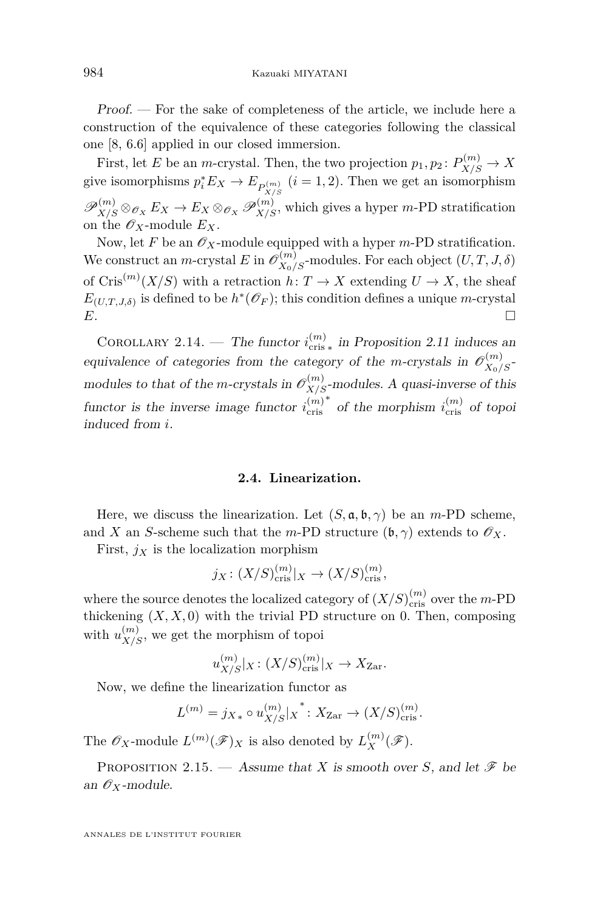<span id="page-10-0"></span>Proof. — For the sake of completeness of the article, we include here a construction of the equivalence of these categories following the classical one [\[8,](#page-29-0) 6.6] applied in our closed immersion.

First, let *E* be an *m*-crystal. Then, the two projection  $p_1, p_2 \colon P_{X/S}^{(m)} \to X$ give isomorphisms  $p_i^* E_X \to E_{P_{X/S}^{(m)}}$   $(i = 1, 2)$ . Then we get an isomorphism  $\mathscr{P}_{X/S}^{(m)} \otimes_{\mathscr{O}_X} E_X \to E_X \otimes_{\mathscr{O}_X} \mathscr{P}_{X/S}^{(m)}$ , which gives a hyper *m*-PD stratification on the  $\mathscr{O}_X$ -module  $E_X$ .

Now, let F be an  $\mathscr{O}_X$ -module equipped with a hyper *m*-PD stratification. We construct an *m*-crystal *E* in  $\mathscr{O}_{X_0/S}^{(m)}$ -modules. For each object  $(U, T, J, \delta)$ of  $\operatorname{Cris}^{(m)}(X/S)$  with a retraction  $h: T \to X$  extending  $U \to X$ , the sheaf  $E_{(U,T,J,\delta)}$  is defined to be  $h^*(\mathscr{O}_F)$ ; this condition defines a unique *m*-crystal *E*.

COROLLARY 2.14. — The functor  $i_{\text{cris}}^{(m)}$  in Proposition [2.11](#page-9-0) induces an equivalence of categories from the category of the *m*-crystals in  $\mathcal{O}_{X_0/S}^{(m)}$ modules to that of the *m*-crystals in  $\mathcal{O}_{X/S}^{(m)}$ -modules. A quasi-inverse of this functor is the inverse image functor  $i_{\text{cris}}^{(m)}$ <sup>∗</sup> of the morphism *i*<sub>cris</sub> of topoi induced from *i*.

#### **2.4. Linearization.**

Here, we discuss the linearization. Let  $(S, \mathfrak{a}, \mathfrak{b}, \gamma)$  be an *m*-PD scheme, and *X* an *S*-scheme such that the *m*-PD structure  $(b, \gamma)$  extends to  $\mathscr{O}_X$ .

First,  $j_X$  is the localization morphism

$$
j_X\colon (X/S)_{\text{cris}}^{(m)}|_X \to (X/S)_{\text{cris}}^{(m)},
$$

where the source denotes the localized category of  $(X/S)_{\text{cris}}^{(m)}$  over the *m*-PD thickening  $(X, X, 0)$  with the trivial PD structure on 0. Then, composing with  $u_{X/S}^{(m)}$ , we get the morphism of topoi

$$
u_{X/S}^{(m)}|_X \colon (X/S)_{\text{cris}}^{(m)}|_X \to X_{\text{Zar}}.
$$

Now, we define the linearization functor as

$$
L^{(m)} = j_{X*} \circ u_{X/S}^{(m)}|_X^* : X_{\text{Zar}} \to (X/S)_{\text{cris}}^{(m)}.
$$

The  $\mathscr{O}_X$ -module  $L^{(m)}(\mathscr{F})_X$  is also denoted by  $L_X^{(m)}(\mathscr{F})$ .

PROPOSITION 2.15. — Assume that *X* is smooth over *S*, and let  $\mathscr F$  be an  $\mathscr{O}_X$ -module.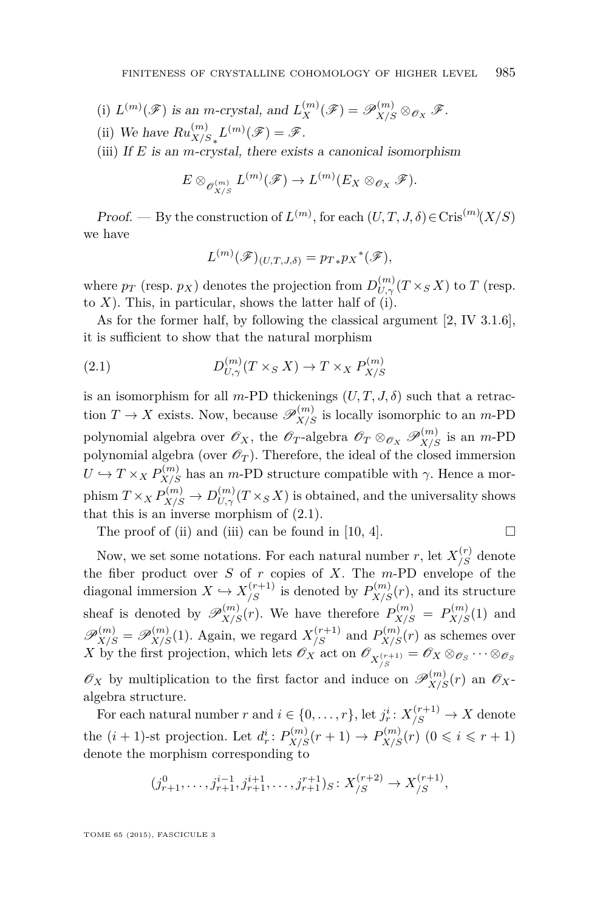- (i)  $L^{(m)}(\mathscr{F})$  is an *m*-crystal, and  $L_X^{(m)}(\mathscr{F}) = \mathscr{P}_{X/S}^{(m)} \otimes_{\mathscr{O}_X} \mathscr{F}$ .
- (ii) We have  $Ru_{X/S_*}^{(m)}L^{(m)}(\mathscr{F}) = \mathscr{F}.$

(iii) If *E* is an *m*-crystal, there exists a canonical isomorphism

$$
E \otimes_{\mathscr{O}_{X/S}} L^{(m)}(\mathscr{F}) \to L^{(m)}(E_X \otimes_{\mathscr{O}_X} \mathscr{F}).
$$

Proof. — By the construction of  $L^{(m)}$ , for each  $(U, T, J, \delta) \in \text{Cris}^{(m)}(X/S)$ we have

$$
L^{(m)}(\mathscr{F})_{(U,T,J,\delta)} = p_{T*}p_X{}^*(\mathscr{F}),
$$

where  $p_T$  (resp.  $p_X$ ) denotes the projection from  $D_{U,\gamma}^{(m)}(T \times_S X)$  to  $T$  (resp. to  $X$ ). This, in particular, shows the latter half of (i).

As for the former half, by following the classical argument [\[2,](#page-29-0) IV 3.1.6], it is sufficient to show that the natural morphism

(2.1) 
$$
D_{U,\gamma}^{(m)}(T \times_S X) \to T \times_X P_{X/S}^{(m)}
$$

is an isomorphism for all *m*-PD thickenings  $(U, T, J, \delta)$  such that a retraction  $T \to X$  exists. Now, because  $\mathscr{P}_{X/S}^{(m)}$  is locally isomorphic to an *m*-PD polynomial algebra over  $\mathscr{O}_X$ , the  $\mathscr{O}_T$ -algebra  $\mathscr{O}_T \otimes_{\mathscr{O}_X} \mathscr{P}_{X/S}^{(m)}$  is an *m*-PD polynomial algebra (over  $\mathscr{O}_T$ ). Therefore, the ideal of the closed immersion  $U \hookrightarrow T \times_X P_{X/S}^{(m)}$  has an *m*-PD structure compatible with  $\gamma$ . Hence a mor- $\text{phism } T \times_X P_{X/S}^{(m)} \to D_{U,\gamma}^{(m)}(T \times_S X)$  is obtained, and the universality shows that this is an inverse morphism of (2.1).

The proof of (ii) and (iii) can be found in [\[10,](#page-29-0) 4].

$$
\Box
$$

Now, we set some notations. For each natural number *r*, let  $X^{(r)}_{/S}$  denote the fiber product over *S* of *r* copies of *X*. The *m*-PD envelope of the diagonal immersion  $X \hookrightarrow X_{/S}^{(r+1)}$  is denoted by  $P_{X/S}^{(m)}(r)$ , and its structure sheaf is denoted by  $\mathscr{P}_{X/S}^{(m)}(r)$ . We have therefore  $P_{X/S}^{(m)} = P_{X/S}^{(m)}(1)$  and  $\mathscr{P}_{X/S}^{(m)} = \mathscr{P}_{X/S}^{(m)}(1)$ . Again, we regard  $X_{/S}^{(r+1)}$  and  $P_{X/S}^{(m)}(r)$  as schemes over *X* by the first projection, which lets  $\mathscr{O}_X$  act on  $\mathscr{O}_{X/S}^{(r+1)} = \mathscr{O}_X \otimes_{\mathscr{O}_S} \cdots \otimes_{\mathscr{O}_S}$  $\mathscr{O}_X$  by multiplication to the first factor and induce on  $\mathscr{P}_{X/S}^{(m)}(r)$  an  $\mathscr{O}_X$ algebra structure.

For each natural number *r* and  $i \in \{0, \ldots, r\}$ , let  $j_r^i: X_{/S}^{(r+1)} \to X$  denote the  $(i + 1)$ -st projection. Let  $d_r^i$ :  $P_{X/S}^{(m)}(r + 1) \rightarrow P_{X/S}^{(m)}(r)$   $(0 \leq i \leq r + 1)$ denote the morphism corresponding to

$$
(j_{r+1}^0, \ldots, j_{r+1}^{i-1}, j_{r+1}^{i+1}, \ldots, j_{r+1}^{r+1})_S \colon X_{/S}^{(r+2)} \to X_{/S}^{(r+1)},
$$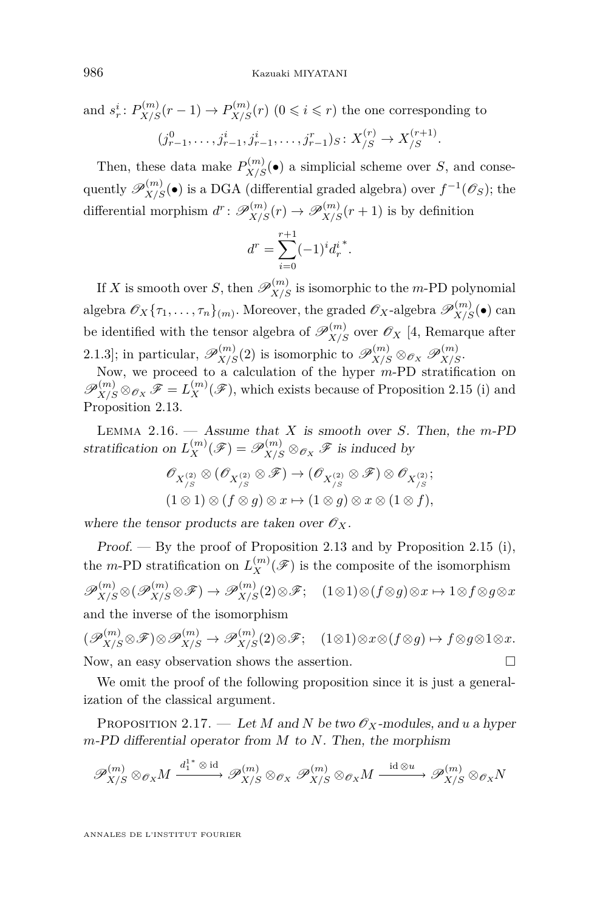<span id="page-12-0"></span>and 
$$
s_r^i: P_{X/S}^{(m)}(r-1) \to P_{X/S}^{(m)}(r)
$$
  $(0 \le i \le r)$  the one corresponding to  
 $(j_{r-1}^0, \ldots, j_{r-1}^i, j_{r-1}^i, \ldots, j_{r-1}^r)_S: X_{/S}^{(r)} \to X_{/S}^{(r+1)}$ .

Then, these data make  $P_{X/S}^{(m)}(\bullet)$  a simplicial scheme over *S*, and consequently  $\mathscr{P}_{X/S}^{(m)}(\bullet)$  is a DGA (differential graded algebra) over  $f^{-1}(\mathscr{O}_S)$ ; the differential morphism  $d^r: \mathscr{P}_{X/S}^{(m)}(r) \to \mathscr{P}_{X/S}^{(m)}(r+1)$  is by definition

$$
d^r = \sum_{i=0}^{r+1} (-1)^i d_r^{i^*}.
$$

If *X* is smooth over *S*, then  $\mathscr{P}_{X/S}^{(m)}$  is isomorphic to the *m*-PD polynomial algebra  $\mathscr{O}_X\{\tau_1,\ldots,\tau_n\}_{(m)}$ . Moreover, the graded  $\mathscr{O}_X$ -algebra  $\mathscr{P}_{X/S}^{(m)}(\bullet)$  can be identified with the tensor algebra of  $\mathscr{P}_{X/S}^{(m)}$  over  $\mathscr{O}_X$  [\[4,](#page-29-0) Remarque after 2.1.3]; in particular,  $\mathscr{P}_{X/S}^{(m)}(2)$  is isomorphic to  $\mathscr{P}_{X/S}^{(m)} \otimes_{\mathscr{O}_X} \mathscr{P}_{X/S}^{(m)}$ .

Now, we proceed to a calculation of the hyper *m*-PD stratification on  $\mathscr{P}_{X/S}^{(m)} \otimes_{\mathscr{O}_X} \mathscr{F} = L_X^{(m)}(\mathscr{F})$ , which exists because of Proposition [2.15](#page-10-0) (i) and Proposition [2.13.](#page-9-0)

Lemma 2.16. — Assume that *X* is smooth over *S*. Then, the *m*-PD stratification on  $L_X^{(m)}(\mathscr{F}) = \mathscr{P}_{X/S}^{(m)} \otimes_{\mathscr{O}_X} \mathscr{F}$  is induced by

$$
\mathscr{O}_{X_{/S}^{(2)}} \otimes (\mathscr{O}_{X_{/S}^{(2)}} \otimes \mathscr{F}) \to (\mathscr{O}_{X_{/S}^{(2)}} \otimes \mathscr{F}) \otimes \mathscr{O}_{X_{/S}^{(2)}}; (1 \otimes 1) \otimes (f \otimes g) \otimes x \mapsto (1 \otimes g) \otimes x \otimes (1 \otimes f),
$$

where the tensor products are taken over  $\mathscr{O}_X$ .

Proof.  $-$  By the proof of Proposition [2.13](#page-9-0) and by Proposition [2.15](#page-10-0) (i), the *m*-PD stratification on  $L_X^{(m)}(\mathscr{F})$  is the composite of the isomorphism  $\mathscr{P}_{X/S}^{(m)} \otimes (\mathscr{P}_{X/S}^{(m)} \otimes \mathscr{F}) \rightarrow \mathscr{P}_{X/S}^{(m)}(2) \otimes \mathscr{F};$  (1⊗1)⊗( $f \otimes g$ )⊗ $x \mapsto 1 \otimes f \otimes g \otimes x$ and the inverse of the isomorphism

 $(\mathscr{P}_{X/S}^{(m)} \otimes \mathscr{F}) \otimes \mathscr{P}_{X/S}^{(m)} \rightarrow \mathscr{P}_{X/S}^{(m)}(2) \otimes \mathscr{F};$  (1⊗1)⊗ $x \otimes (f \otimes g) \mapsto f \otimes g \otimes 1 \otimes x.$ Now, an easy observation shows the assertion.  $\Box$ 

We omit the proof of the following proposition since it is just a generalization of the classical argument.

PROPOSITION 2.17. — Let *M* and *N* be two  $\mathscr{O}_X$ -modules, and *u* a hyper *m*-PD differential operator from *M* to *N*. Then, the morphism

$$
\mathscr{P}_{X/S}^{(m)} \otimes_{\mathscr{O}_X} M \xrightarrow{d_1^{1^*} \otimes \text{id}} \mathscr{P}_{X/S}^{(m)} \otimes_{\mathscr{O}_X} \mathscr{P}_{X/S}^{(m)} \otimes_{\mathscr{O}_X} M \xrightarrow{\text{id} \otimes u} \mathscr{P}_{X/S}^{(m)} \otimes_{\mathscr{O}_X} N
$$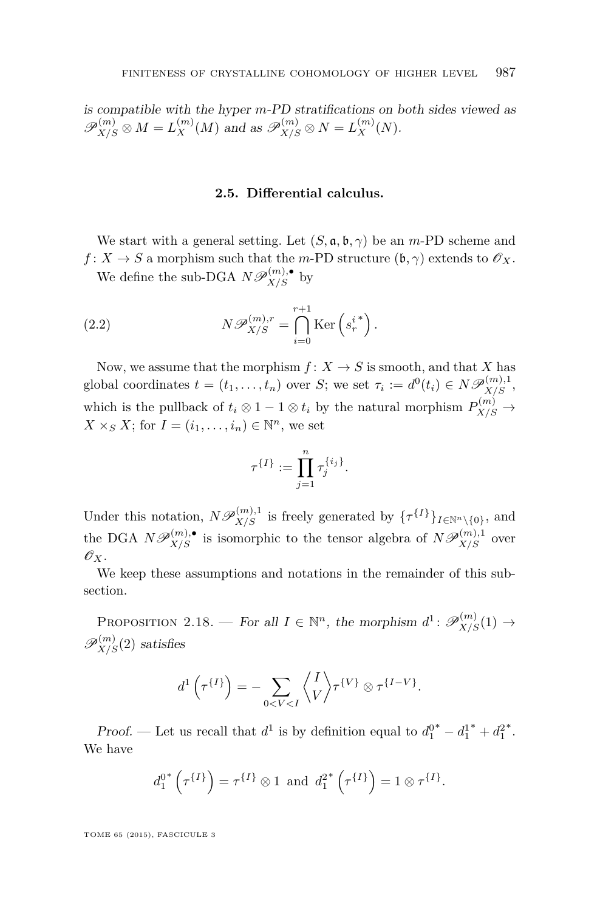<span id="page-13-0"></span>is compatible with the hyper *m*-PD stratifications on both sides viewed as  $\mathscr{P}_{X/S}^{(m)} \otimes M = L_X^{(m)}(M)$  and as  $\mathscr{P}_{X/S}^{(m)} \otimes N = L_X^{(m)}(N)$ .

#### **2.5. Differential calculus.**

We start with a general setting. Let  $(S, \mathfrak{a}, \mathfrak{b}, \gamma)$  be an *m*-PD scheme and  $f: X \to S$  a morphism such that the *m*-PD structure  $(\mathfrak{b}, \gamma)$  extends to  $\mathscr{O}_X$ .

We define the sub-DGA  $N\mathscr{P}_{X/S}^{(m),\bullet}$  by

(2.2) 
$$
N\mathscr{P}_{X/S}^{(m),r} = \bigcap_{i=0}^{r+1} \text{Ker}\left(s_r^{i^*}\right).
$$

Now, we assume that the morphism  $f: X \to S$  is smooth, and that *X* has global coordinates  $t = (t_1, \ldots, t_n)$  over *S*; we set  $\tau_i := d^0(t_i) \in N\mathscr{P}_{X/S}^{(m),1}$ , which is the pullback of  $t_i \otimes 1 - 1 \otimes t_i$  by the natural morphism  $P_{X/S}^{(m)} \to$  $X \times_S X$ ; for  $I = (i_1, \ldots, i_n) \in \mathbb{N}^n$ , we set

$$
\tau^{\{I\}} := \prod_{j=1}^n \tau_j^{\{i_j\}}.
$$

Under this notation,  $N\mathscr{P}_{X/S}^{(m),1}$  is freely generated by  $\{\tau^{\{I\}}\}_{I\in\mathbb{N}^n\setminus\{0\}}$ , and the DGA  $N\mathscr{P}_{X/S}^{(m),\bullet}$  is isomorphic to the tensor algebra of  $N\mathscr{P}_{X/S}^{(m),1}$  over  $\mathscr{O}_X$ .

We keep these assumptions and notations in the remainder of this subsection.

PROPOSITION 2.18. — For all  $I \in \mathbb{N}^n$ , the morphism  $d^1: \mathscr{P}_{X/S}^{(m)}(1) \to$  $\mathscr{P}_{X/S}^{(m)}(2)$  satisfies

$$
d^1\left(\tau^{\{I\}}\right) = -\sum_{0 < V < I} \left\langle \frac{I}{V} \right\rangle \tau^{\{V\}} \otimes \tau^{\{I-V\}}.
$$

*Proof.* — Let us recall that  $d^1$  is by definition equal to  $d_1^{0^*} - d_1^{1^*} + d_1^2$ ∗ . We have

$$
d_1^{0^*}\left(\tau^{\{I\}}\right) = \tau^{\{I\}} \otimes 1 \text{ and } d_1^{2^*}\left(\tau^{\{I\}}\right) = 1 \otimes \tau^{\{I\}}.
$$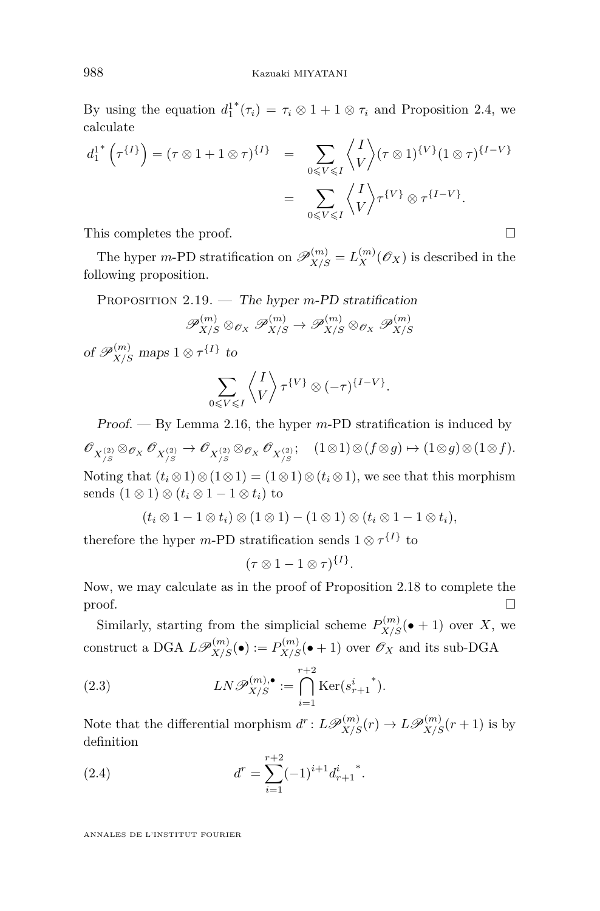<span id="page-14-0"></span>By using the equation *d* 1 1 <sup>\*</sup> $(\tau_i) = \tau_i \otimes 1 + 1 \otimes \tau_i$  and Proposition [2.4,](#page-5-0) we calculate

$$
d_1^{1*}\left(\tau^{\{I\}}\right) = (\tau \otimes 1 + 1 \otimes \tau)^{\{I\}} = \sum_{0 \leq V \leq I} \left\langle \frac{I}{V} \right\rangle (\tau \otimes 1)^{\{V\}} (1 \otimes \tau)^{\{I - V\}}
$$

$$
= \sum_{0 \leq V \leq I} \left\langle \frac{I}{V} \right\rangle \tau^{\{V\}} \otimes \tau^{\{I - V\}}.
$$

This completes the proof.

The hyper *m*-PD stratification on  $\mathscr{P}_{X/S}^{(m)} = L_X^{(m)}(\mathscr{O}_X)$  is described in the following proposition.

Proposition 2.19. — The hyper *m*-PD stratification

$$
\mathscr{P}_{X/S}^{(m)} \otimes_{\mathscr{O}_X} \mathscr{P}_{X/S}^{(m)} \to \mathscr{P}_{X/S}^{(m)} \otimes_{\mathscr{O}_X} \mathscr{P}_{X/S}^{(m)}
$$

of  $\mathscr{P}_{X/S}^{(m)}$  maps  $1 \otimes \tau^{\{I\}}$  to

$$
\sum_{0\leqslant V\leqslant I}\left\langle\!\! \begin{array}{c}I\\V\end{array}\!\!\right\rangle\tau^{\{V\}}\otimes(-\tau)^{\{I-V\}}.
$$

Proof. — By Lemma [2.16,](#page-12-0) the hyper *m*-PD stratification is induced by  $\mathscr{O}_{X_{/S}^{(2)}} \otimes_{\mathscr{O}_X} \mathscr{O}_{X_{/S}^{(2)}} \otimes_{\mathscr{O}_X} \mathscr{O}_{X_{/S}^{(2)}}; \quad (1 \otimes 1) \otimes (f \otimes g) \mapsto (1 \otimes g) \otimes (1 \otimes f).$ Noting that  $(t_i \otimes 1) \otimes (1 \otimes 1) = (1 \otimes 1) \otimes (t_i \otimes 1)$ , we see that this morphism sends  $(1 \otimes 1) \otimes (t_i \otimes 1 - 1 \otimes t_i)$  to

$$
(t_i \otimes 1 - 1 \otimes t_i) \otimes (1 \otimes 1) - (1 \otimes 1) \otimes (t_i \otimes 1 - 1 \otimes t_i),
$$

therefore the hyper *m*-PD stratification sends  $1 \otimes \tau^{\{I\}}$  to

$$
(\tau \otimes 1 - 1 \otimes \tau)^{\{I\}}.
$$

Now, we may calculate as in the proof of Proposition [2.18](#page-13-0) to complete the  $\Box$ 

Similarly, starting from the simplicial scheme  $P_{X/S}^{(m)}(\bullet + 1)$  over *X*, we construct a DGA  $L\mathscr{P}_{X/S}^{(m)}(\bullet) := P_{X/S}^{(m)}(\bullet + 1)$  over  $\mathscr{O}_X$  and its sub-DGA

(2.3) 
$$
LN\mathscr{P}_{X/S}^{(m),\bullet} := \bigcap_{i=1}^{r+2} \text{Ker}(s_{r+1}^{i^*}).
$$

Note that the differential morphism  $d^r: L\mathscr{P}_{X/S}^{(m)}(r) \to L\mathscr{P}_{X/S}^{(m)}(r+1)$  is by definition

(2.4) 
$$
d^{r} = \sum_{i=1}^{r+2} (-1)^{i+1} d_{r+1}^{i}.
$$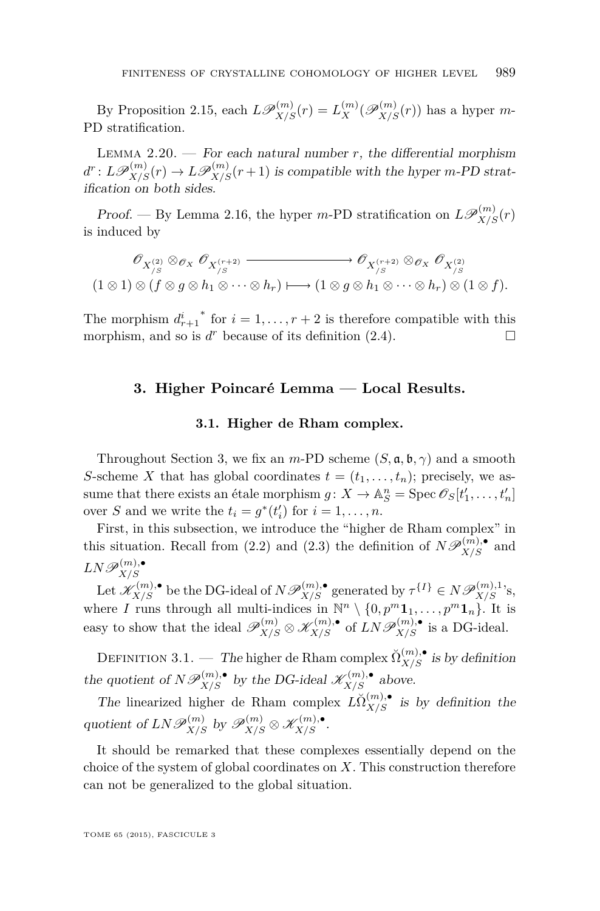<span id="page-15-0"></span>By Proposition [2.15,](#page-10-0) each  $L\mathscr{P}_{X/S}^{(m)}(r) = L_X^{(m)}(\mathscr{P}_{X/S}^{(m)}(r))$  has a hyper *m*-PD stratification.

LEMMA  $2.20.$  – For each natural number *r*, the differential morphism  $d^r: L\mathscr{P}_{X/S}^{(m)}(r) \to L\mathscr{P}_{X/S}^{(m)}(r+1)$  is compatible with the hyper *m*-PD stratification on both sides.

Proof. — By Lemma [2.16,](#page-12-0) the hyper *m*-PD stratification on  $L\mathscr{P}_{X/S}^{(m)}(r)$ is induced by

$$
\mathscr{O}_{X_{/S}^{(2)}} \otimes_{\mathscr{O}_X} \mathscr{O}_{X_{/S}^{(r+2)}} \longrightarrow \mathscr{O}_{X_{/S}^{(r+2)}} \otimes_{\mathscr{O}_X} \mathscr{O}_{X_{/S}^{(2)}}(1 \otimes 1) \otimes (f \otimes g \otimes h_1 \otimes \cdots \otimes h_r) \longmapsto (1 \otimes g \otimes h_1 \otimes \cdots \otimes h_r) \otimes (1 \otimes f).
$$

The morphism  $d_{r+1}^i$ <sup>\*</sup> for  $i = 1, ..., r + 2$  is therefore compatible with this morphism, and so is  $d^r$  because of its definition [\(2.4\)](#page-14-0).

#### **3. Higher Poincaré Lemma — Local Results.**

#### **3.1. Higher de Rham complex.**

Throughout Section 3, we fix an *m*-PD scheme  $(S, \mathfrak{a}, \mathfrak{b}, \gamma)$  and a smooth *S*-scheme *X* that has global coordinates  $t = (t_1, \ldots, t_n)$ ; precisely, we assume that there exists an étale morphism  $g: X \to \mathbb{A}^n_S = \text{Spec } \mathcal{O}_S[t'_1, \ldots, t'_n]$ over *S* and we write the  $t_i = g^*(t'_i)$  for  $i = 1, ..., n$ .

First, in this subsection, we introduce the "higher de Rham complex" in this situation. Recall from [\(2.2\)](#page-13-0) and [\(2.3\)](#page-14-0) the definition of  $N\mathscr{P}_{X/S}^{(m),\bullet}$  and  $LN\mathscr{P}_{X/S}^{(m),\bullet}$ *X/S*

 $\mathcal{L}(X^{(m),\bullet}_{X/S})$  be the DG-ideal of  $N\mathscr{P}_{X/S}^{(m),\bullet}$  generated by  $\tau^{\{I\}} \in N\mathscr{P}_{X/S}^{(m),1}$ 's, where *I* runs through all multi-indices in  $\mathbb{N}^n \setminus \{0, p^m \mathbf{1}_1, \ldots, p^m \mathbf{1}_n\}$ . It is easy to show that the ideal  $\mathscr{P}_{X/S}^{(m)} \otimes \mathscr{K}_{X/S}^{(m),\bullet}$  of  $LN\mathscr{P}_{X/S}^{(m),\bullet}$  is a DG-ideal.

DEFINITION 3.1. — The higher de Rham complex  $\breve{\Omega}_{X/S}^{(m),\bullet}$  is by definition the quotient of  $N \mathscr{P}_{X/S}^{(m),\bullet}$  by the DG-ideal  $\mathscr{K}_{X/S}^{(m),\bullet}$  above.

The linearized higher de Rham complex  $L\check{\Omega}_{X/S}^{(m),\bullet}$  is by definition the quotient of  $LN\mathscr{P}_{X/S}^{(m)}$  by  $\mathscr{P}_{X/S}^{(m)} \otimes \mathscr{K}_{X/S}^{(m),\bullet}$ .

It should be remarked that these complexes essentially depend on the choice of the system of global coordinates on *X*. This construction therefore can not be generalized to the global situation.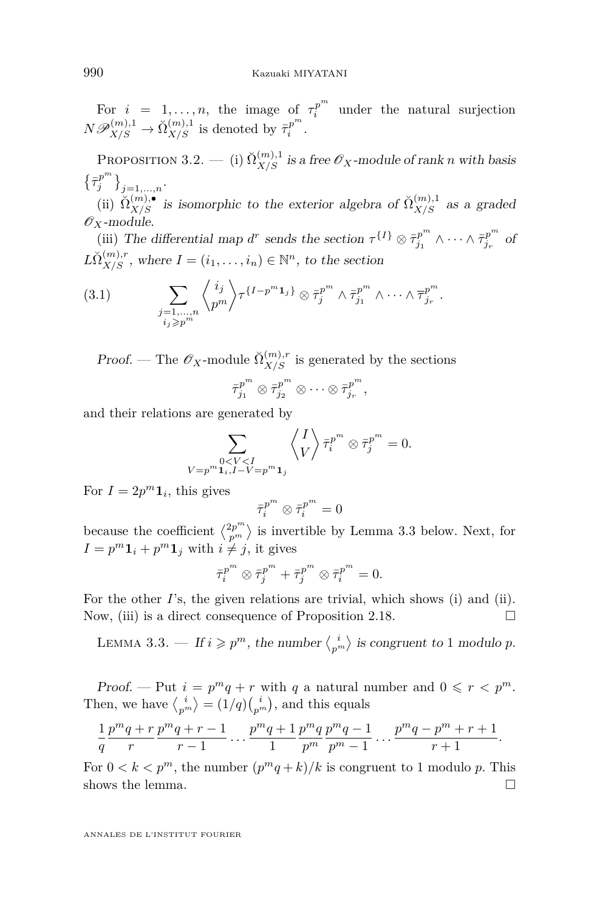<span id="page-16-0"></span>For  $i = 1, \ldots, n$ , the image of  $\tau_i^{p^m}$  under the natural surjection  $N\mathscr{P}_{X/S}^{(m),1} \to \check{\Omega}_{X/S}^{(m),1}$  is denoted by  $\bar{\tau}_i^{p^m}$ .

PROPOSITION 3.2. — (i)  $\breve{\Omega}_{X/S}^{(m),1}$  is a free  $\mathscr{O}_X$ -module of rank *n* with basis  $\left\{\bar\tau_j^{p^m}\right\}_{j=1,\ldots,n}.$ 

(ii)  $\tilde{\Omega}_{X/S}^{(m),\bullet}$  is isomorphic to the exterior algebra of  $\tilde{\Omega}_{X/S}^{(m),1}$  as a graded  $\mathscr{O}_X$ -module.

(iii) The differential map *d*<sup>*r*</sup> sends the section  $\tau^{\{I\}} \otimes \bar{\tau}^{p^m}_{j_1}$  $\bar{z}_{j_1}^{p^m} \wedge \cdots \wedge \bar{\tau}_{j_r}^{p^m}$ *jr* of  $L\breve{\Omega}_{X/S}^{(m),r}$ , where  $I = (i_1, \ldots, i_n) \in \mathbb{N}^n$ , to the section

$$
(3.1) \qquad \sum_{\substack{j=1,\ldots,n\\i_j\geqslant p^m}}\left\langle i_j\atop p^m\right\rangle\tau^{\{I-p^m\mathbf{1}_j\}}\otimes\bar{\tau}_j^{p^m}\wedge\bar{\tau}_{j_1}^{p^m}\wedge\cdots\wedge\bar{\tau}_{j_r}^{p^m}.
$$

Proof. — The  $\mathscr{O}_X$ -module  $\breve{\Omega}_{X/S}^{(m),r}$  is generated by the sections

$$
\overline{\tau}_{j_1}^{p^m} \otimes \overline{\tau}_{j_2}^{p^m} \otimes \cdots \otimes \overline{\tau}_{j_r}^{p^m},
$$

and their relations are generated by

$$
\sum_{\substack{0 < V < I \\ V = p^m \mathbf{1}_i, I - V = p^m \mathbf{1}_j}} \left\langle \begin{matrix} I \\ V \end{matrix} \right\rangle \bar{\tau}_i^{p^m} \otimes \bar{\tau}_j^{p^m} = 0.
$$

For  $I = 2p^m \mathbf{1}_i$ , this gives

$$
\bar{\tau}_i^{p^m}\otimes\bar{\tau}_i^{p^m}=0
$$

because the coefficient  $\langle \frac{2p^m}{p^m} \rangle$  is invertible by Lemma 3.3 below. Next, for  $I = p^m \mathbf{1}_i + p^m \mathbf{1}_j$  with  $i \neq j$ , it gives

$$
\bar{\tau}_i^{p^m} \otimes \bar{\tau}_j^{p^m} + \bar{\tau}_j^{p^m} \otimes \bar{\tau}_i^{p^m} = 0.
$$

For the other *I*'s, the given relations are trivial, which shows (i) and (ii). Now, (iii) is a direct consequence of Proposition [2.18.](#page-13-0)  $\Box$ 

LEMMA 3.3. — If  $i \geq p^m$ , the number  $\langle \frac{i}{p^m} \rangle$  is congruent to 1 modulo *p*.

Proof. — Put  $i = p^m q + r$  with q a natural number and  $0 \leq r \leq p^m$ . Then, we have  $\langle \frac{i}{p^m} \rangle = (1/q) \binom{i}{p^m}$ , and this equals

$$
\frac{1}{q}\frac{p^mq+r}{r}\frac{p^mq+r-1}{r-1}\dots\frac{p^mq+1}{1}\frac{p^mq}{p^m}\frac{p^mq-1}{p^m-1}\dots\frac{p^mq-p^m+r+1}{r+1}.
$$

For  $0 < k < p^m$ , the number  $(p^mq + k)/k$  is congruent to 1 modulo p. This shows the lemma.  $\Box$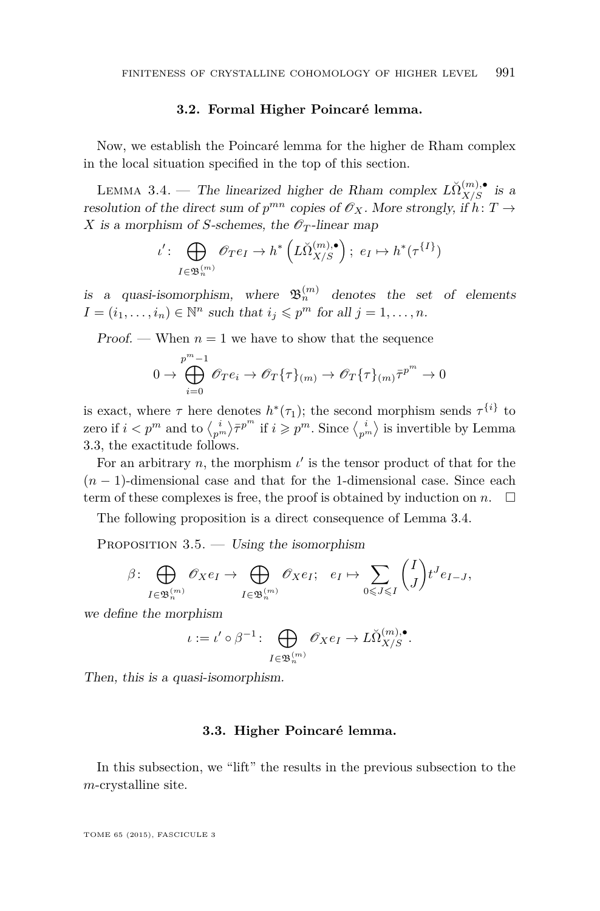#### **3.2. Formal Higher Poincaré lemma.**

<span id="page-17-0"></span>Now, we establish the Poincaré lemma for the higher de Rham complex in the local situation specified in the top of this section.

LEMMA 3.4. — The linearized higher de Rham complex  $\widetilde{LN}_{X/S}^{(m),\bullet}$  is a resolution of the direct sum of  $p^{mn}$  copies of  $\mathcal{O}_X$ . More strongly, if  $h: T \to$ *X* is a morphism of *S*-schemes, the  $\mathscr{O}_T$ -linear map

$$
\iota' \colon \bigoplus_{I \in \mathfrak{B}_n^{(m)}} \mathscr{O}_T e_I \to h^* \left( L\check{\Omega}_{X/S}^{(m), \bullet} \right); e_I \mapsto h^* (\tau^{\{I\}})
$$

is a quasi-isomorphism, where  $\mathfrak{B}_n^{(m)}$  denotes the set of elements  $I = (i_1, \ldots, i_n) \in \mathbb{N}^n$  such that  $i_j \leqslant p^m$  for all  $j = 1, \ldots, n$ .

Proof. — When  $n = 1$  we have to show that the sequence

$$
0 \to \bigoplus_{i=0}^{p^m-1} \mathscr{O}_T e_i \to \mathscr{O}_T \{ \tau \}_{(m)} \to \mathscr{O}_T \{ \tau \}_{(m)} \bar{\tau}^{p^m} \to 0
$$

is exact, where  $\tau$  here denotes  $h^*(\tau_1)$ ; the second morphism sends  $\tau^{\{i\}}$  to zero if  $i < p^m$  and to  $\binom{i}{p^m} \bar{\tau}^{p^m}$  if  $i \geqslant p^m$ . Since  $\binom{i}{p^m}$  is invertible by Lemma [3.3,](#page-16-0) the exactitude follows.

For an arbitrary  $n$ , the morphism  $\iota'$  is the tensor product of that for the  $(n-1)$ -dimensional case and that for the 1-dimensional case. Since each term of these complexes is free, the proof is obtained by induction on  $n$ .  $\Box$ 

The following proposition is a direct consequence of Lemma 3.4.

PROPOSITION  $3.5.$  — Using the isomorphism

$$
\beta\colon \bigoplus_{I\in\mathfrak{B}_n^{(m)}} \mathscr{O}_X e_I \to \bigoplus_{I\in\mathfrak{B}_n^{(m)}} \mathscr{O}_X e_I; \quad e_I \mapsto \sum_{0\leqslant J\leqslant I} \binom{I}{J} t^J e_{I-J},
$$

we define the morphism

$$
\iota := \iota' \circ \beta^{-1} \colon \bigoplus_{I \in \mathfrak{B}_n^{(m)}} \mathscr{O}_X e_I \to L\check{\Omega}_{X/S}^{(m),\bullet}.
$$

Then, this is a quasi-isomorphism.

#### **3.3. Higher Poincaré lemma.**

In this subsection, we "lift" the results in the previous subsection to the *m*-crystalline site.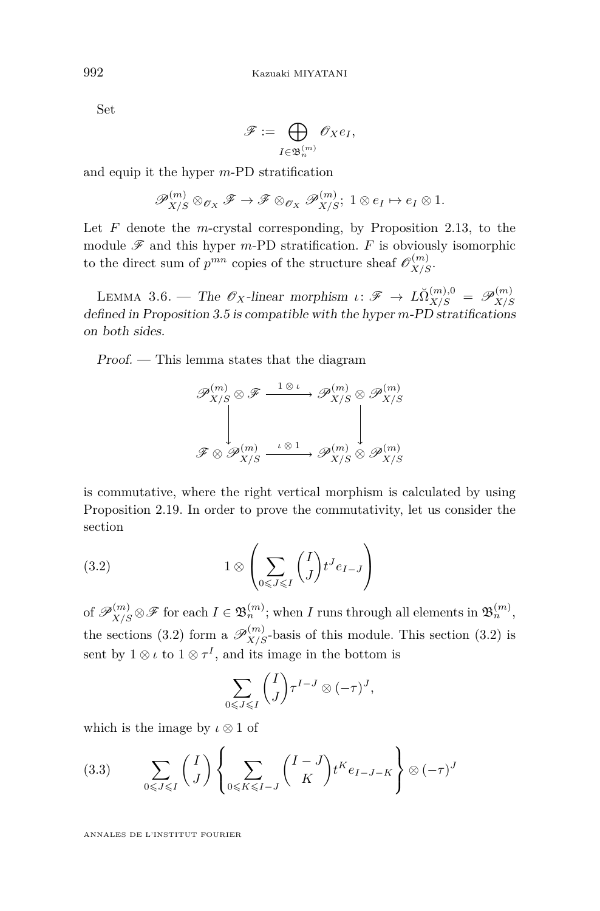Set

$$
\mathscr{F}:=\bigoplus_{I\in\mathfrak{B}_n^{(m)}}\mathscr{O}_X e_I,
$$

and equip it the hyper *m*-PD stratification

$$
\mathscr{P}_{X/S}^{(m)} \otimes_{\mathscr{O}_X} \mathscr{F} \to \mathscr{F} \otimes_{\mathscr{O}_X} \mathscr{P}_{X/S}^{(m)}; \ 1 \otimes e_I \mapsto e_I \otimes 1.
$$

Let *F* denote the *m*-crystal corresponding, by Proposition [2.13,](#page-9-0) to the module  $\mathscr F$  and this hyper *m*-PD stratification. *F* is obviously isomorphic to the direct sum of  $p^{mn}$  copies of the structure sheaf  $\mathscr{O}_{X/S}^{(m)}$ .

LEMMA 3.6. — The  $\mathscr{O}_X$ -linear morphism  $\iota \colon \mathscr{F} \to L\breve{\Omega}_{X/S}^{(m),0} = \mathscr{P}_{X/S}^{(m)}$ *X/S* defined in Proposition [3.5](#page-17-0) is compatible with the hyper *m*-PD stratifications on both sides.

Proof. — This lemma states that the diagram

$$
\mathscr{P}_{X/S}^{(m)} \otimes \mathscr{F} \xrightarrow{\phantom{X/S}1\, \otimes \,\iota} \mathscr{P}_{X/S}^{(m)} \otimes \mathscr{P}_{X/S}^{(m)}
$$

$$
\downarrow \qquad \qquad \downarrow
$$

$$
\mathscr{F} \otimes \mathscr{P}_{X/S}^{(m)} \xrightarrow{\phantom{X/S} \phantom{X/S}1\phantom{X/S} \phantom{X/S} \mathscr{P}_{X/S}^{(m)}} \mathscr{P}_{X/S}^{(m)} \otimes \mathscr{P}_{X/S}^{(m)}
$$

is commutative, where the right vertical morphism is calculated by using Proposition [2.19.](#page-14-0) In order to prove the commutativity, let us consider the section

(3.2) 
$$
1 \otimes \left( \sum_{0 \leq J \leq I} \binom{I}{J} t^J e_{I-J} \right)
$$

of  $\mathscr{P}_{X/S}^{(m)} \otimes \mathscr{F}$  for each  $I \in \mathfrak{B}_{n}^{(m)}$ ; when *I* runs through all elements in  $\mathfrak{B}_{n}^{(m)}$ , the sections (3.2) form a  $\mathscr{P}_{X/S}^{(m)}$ -basis of this module. This section (3.2) is sent by  $1 \otimes \iota$  to  $1 \otimes \tau^I$ , and its image in the bottom is

$$
\sum_{0\leqslant J\leqslant I}\binom{I}{J}\tau^{I-J}\otimes(-\tau)^J,
$$

which is the image by *ι* ⊗ 1 of

$$
(3.3) \qquad \sum_{0 \leqslant J \leqslant I} \binom{I}{J} \left\{ \sum_{0 \leqslant K \leqslant I-J} \binom{I-J}{K} t^{K} e_{I-J-K} \right\} \otimes (-\tau)^{J}
$$

<span id="page-18-0"></span>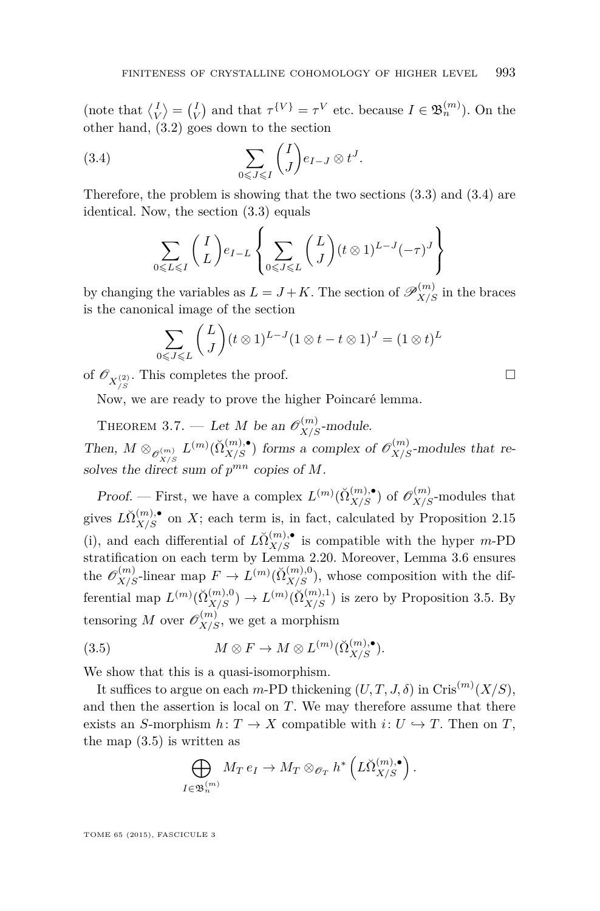(note that  $\langle I_V \rangle = \langle I_V \rangle$  and that  $\tau^{\{V\}} = \tau^V$  etc. because  $I \in \mathfrak{B}_n^{(m)}$ ). On the other hand, [\(3.2\)](#page-18-0) goes down to the section

(3.4) 
$$
\sum_{0 \leqslant J \leqslant I} \binom{I}{J} e_{I-J} \otimes t^J.
$$

Therefore, the problem is showing that the two sections [\(3.3\)](#page-18-0) and (3.4) are identical. Now, the section [\(3.3\)](#page-18-0) equals

$$
\sum_{0 \leqslant L \leqslant I} \binom{I}{L} e_{I-L} \left\{ \sum_{0 \leqslant J \leqslant L} \binom{L}{J} (t \otimes 1)^{L-J} (-\tau)^{J} \right\}
$$

by changing the variables as  $L = J + K$ . The section of  $\mathscr{P}_{X/S}^{(m)}$  in the braces is the canonical image of the section

$$
\sum_{0 \leqslant J \leqslant L} {L \choose J} (t \otimes 1)^{L-J} (1 \otimes t - t \otimes 1)^J = (1 \otimes t)^L
$$

of  $\mathscr{O}_{X_{/S}^{(2)}}$ . This completes the proof.

Now, we are ready to prove the higher Poincaré lemma.

THEOREM 3.7. — Let *M* be an  $\mathcal{O}_{X/S}^{(m)}$ -module. Then,  $M \otimes_{\mathscr{O}_{X/S}^{(m)}} L^{(m)}(\check{\Omega}_{X/S}^{(m)},\bullet)$  forms a complex of  $\mathscr{O}_{X/S}^{(m)}$ -modules that resolves the direct sum of *p mn* copies of *M*.

Proof. — First, we have a complex  $L^{(m)}(\check{\Omega}_{X/S}^{(m)},\bullet)$  of  $\mathscr{O}_{X/S}^{(m)}$ -modules that gives  $L\breve{\Omega}_{X/S}^{(m),\bullet}$  on *X*; each term is, in fact, calculated by Proposition [2.15](#page-10-0) (i), and each differential of  $L\check{\Omega}_{X/S}^{(m),\bullet}$  is compatible with the hyper *m*-PD stratification on each term by Lemma [2.20.](#page-15-0) Moreover, Lemma [3.6](#page-18-0) ensures the  $\mathscr{O}_{X/S}^{(m)}$ -linear map  $F \to L^{(m)}(\check{\Omega}_{X/S}^{(m),0})$ , whose composition with the differential map  $L^{(m)}(\check{\Omega}_{X/S}^{(m),0}) \to L^{(m)}(\check{\Omega}_{X/S}^{(m),1})$  is zero by Proposition [3.5.](#page-17-0) By tensoring *M* over  $\mathscr{O}_{X/S}^{(m)}$ , we get a morphism

(3.5) 
$$
M \otimes F \to M \otimes L^{(m)}(\check{\Omega}_{X/S}^{(m),\bullet}).
$$

We show that this is a quasi-isomorphism.

It suffices to argue on each *m*-PD thickening  $(U, T, J, \delta)$  in Cris<sup> $(m)$ </sup> $(X/S)$ , and then the assertion is local on *T*. We may therefore assume that there exists an *S*-morphism  $h: T \to X$  compatible with  $i: U \hookrightarrow T$ . Then on *T*, the map  $(3.5)$  is written as

$$
\bigoplus_{I \in \mathfrak{B}_n^{(m)}} M_T e_I \to M_T \otimes_{\mathscr{O}_T} h^* \left( L\check{\Omega}_{X/S}^{(m),\bullet} \right).
$$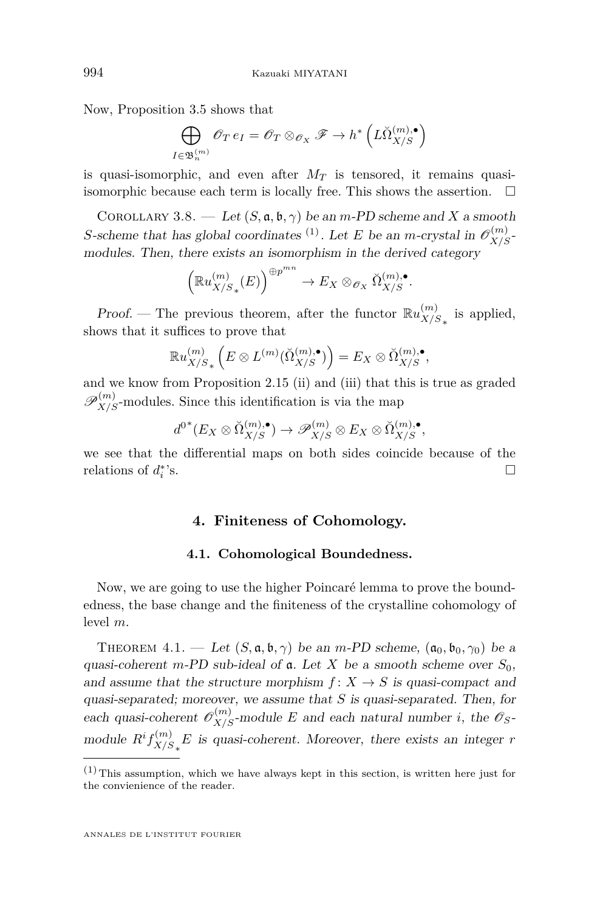<span id="page-20-0"></span>Now, Proposition [3.5](#page-17-0) shows that

$$
\bigoplus_{I \in \mathfrak{B}_n^{(m)}} \mathscr{O}_T e_I = \mathscr{O}_T \otimes_{\mathscr{O}_X} \mathscr{F} \to h^* \left( L \check{\Omega}_{X/S}^{(m), \bullet} \right)
$$

is quasi-isomorphic, and even after  $M_T$  is tensored, it remains quasiisomorphic because each term is locally free. This shows the assertion.  $\Box$ 

COROLLARY 3.8. — Let  $(S, \mathfrak{a}, \mathfrak{b}, \gamma)$  be an *m*-PD scheme and X a smooth *S*-scheme that has global coordinates <sup>(1)</sup>. Let *E* be an *m*-crystal in  $\mathcal{O}_{X/S}^{(m)}$ modules. Then, there exists an isomorphism in the derived category

$$
\left(\mathbb{R}u_{X/S_*}^{(m)}(E)\right)^{\oplus p^{mn}} \to E_X \otimes_{\mathscr{O}_X} \check{\Omega}_{X/S}^{(m),\bullet}.
$$

Proof. – The previous theorem, after the functor  $\mathbb{R}u_{X/\beta}^{(m)}$  $\frac{m}{X/S_*}$  is applied, shows that it suffices to prove that

$$
\mathbb{R}u_{X/S_*}^{(m)}\left(E\otimes L^{(m)}(\check{\Omega}_{X/S}^{(m),\bullet})\right)=E_X\otimes \check{\Omega}_{X/S}^{(m),\bullet},
$$

and we know from Proposition [2.15](#page-10-0) (ii) and (iii) that this is true as graded  $\mathscr{P}_{X/S}^{(m)}$ -modules. Since this identification is via the map

$$
d^{0^*}(E_X \otimes \check{\Omega}_{X/S}^{(m),\bullet}) \to \mathscr{P}_{X/S}^{(m)} \otimes E_X \otimes \check{\Omega}_{X/S}^{(m),\bullet},
$$

we see that the differential maps on both sides coincide because of the relations of  $d_i^*$  $\mathcal{S}$ .

#### **4. Finiteness of Cohomology.**

#### **4.1. Cohomological Boundedness.**

Now, we are going to use the higher Poincaré lemma to prove the boundedness, the base change and the finiteness of the crystalline cohomology of level *m*.

THEOREM 4.1. — Let  $(S, \mathfrak{a}, \mathfrak{b}, \gamma)$  be an *m*-PD scheme,  $(\mathfrak{a}_0, \mathfrak{b}_0, \gamma_0)$  be a quasi-coherent *m*-PD sub-ideal of  $\alpha$ . Let *X* be a smooth scheme over  $S_0$ , and assume that the structure morphism  $f: X \to S$  is quasi-compact and quasi-separated; moreover, we assume that *S* is quasi-separated. Then, for each quasi-coherent  $\mathcal{O}_{X/S}^{(m)}$ -module *E* and each natural number *i*, the  $\mathcal{O}_S$ module  $R^if_{X/S}^{(m)}$  $\frac{m}{X/S_*}E$  is quasi-coherent. Moreover, there exists an integer *r* 

 $(1)$  This assumption, which we have always kept in this section, is written here just for the convienience of the reader.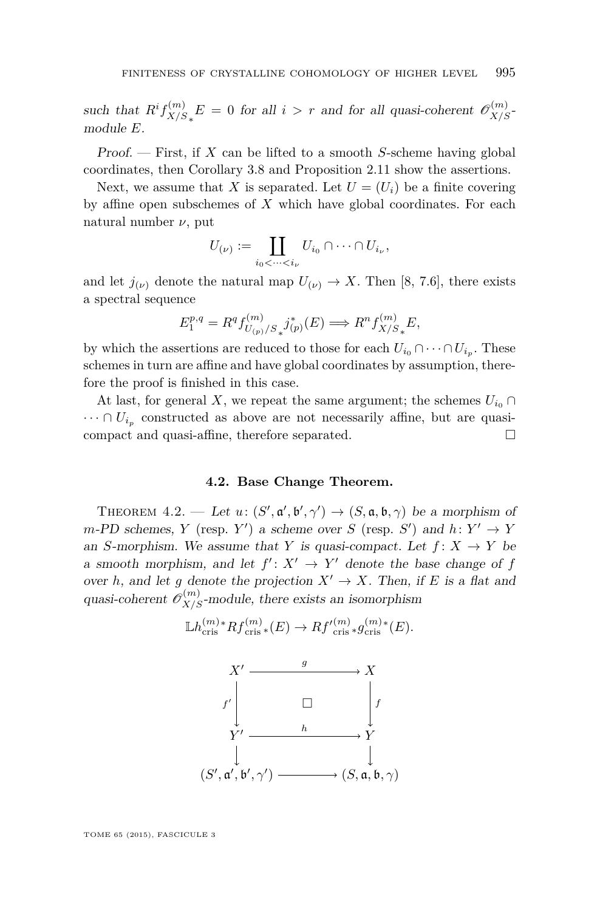<span id="page-21-0"></span>such that  $R^if_{X/S}^{(m)}$  $\int_{X/S_*}^{(m)} E = 0$  for all *i > r* and for all quasi-coherent  $\mathcal{O}_{X/S}^{(m)}$ module *E*.

Proof. — First, if *X* can be lifted to a smooth *S*-scheme having global coordinates, then Corollary [3.8](#page-20-0) and Proposition [2.11](#page-9-0) show the assertions.

Next, we assume that *X* is separated. Let  $U = (U_i)$  be a finite covering by affine open subschemes of *X* which have global coordinates. For each natural number *ν*, put

$$
U_{(\nu)} := \coprod_{i_0 < \dots < i_{\nu}} U_{i_0} \cap \dots \cap U_{i_{\nu}},
$$

and let  $j_{(\nu)}$  denote the natural map  $U_{(\nu)} \to X$ . Then [\[8,](#page-29-0) 7.6], there exists a spectral sequence

$$
E_1^{p,q} = R^q f_{U_{(p)}/S_*}^{(m)} j_{(p)}^*(E) \Longrightarrow R^n f_{X/S_*}^{(m)} E,
$$

by which the assertions are reduced to those for each  $U_{i_0} \cap \cdots \cap U_{i_p}$ . These schemes in turn are affine and have global coordinates by assumption, therefore the proof is finished in this case.

At last, for general *X*, we repeat the same argument; the schemes  $U_{i_0} \cap$  $\cdots \cap U_{i_p}$  constructed as above are not necessarily affine, but are quasicompact and quasi-affine, therefore separated.

#### **4.2. Base Change Theorem.**

THEOREM 4.2. — Let  $u: (S', \mathfrak{a}', \mathfrak{b}', \gamma') \to (S, \mathfrak{a}, \mathfrak{b}, \gamma)$  be a morphism of  $m$ -PD schemes, *Y* (resp. *Y'*) a scheme over *S* (resp. *S'*) and  $h: Y' \to Y$ an *S*-morphism. We assume that *Y* is quasi-compact. Let  $f: X \to Y$  be a smooth morphism, and let  $f' : X' \to Y'$  denote the base change of *f* over *h*, and let *g* denote the projection  $X' \to X$ . Then, if *E* is a flat and quasi-coherent  $\mathscr{O}_{X/S}^{(m)}$ -module, there exists an isomorphism

$$
\mathbb{L}h^{(m)*}_{\text{cris}}Rf^{(m)}_{\text{cris}*}(E) \to Rf'^{(m)}_{\text{cris}*}g^{(m)*}_{\text{cris}}(E).
$$

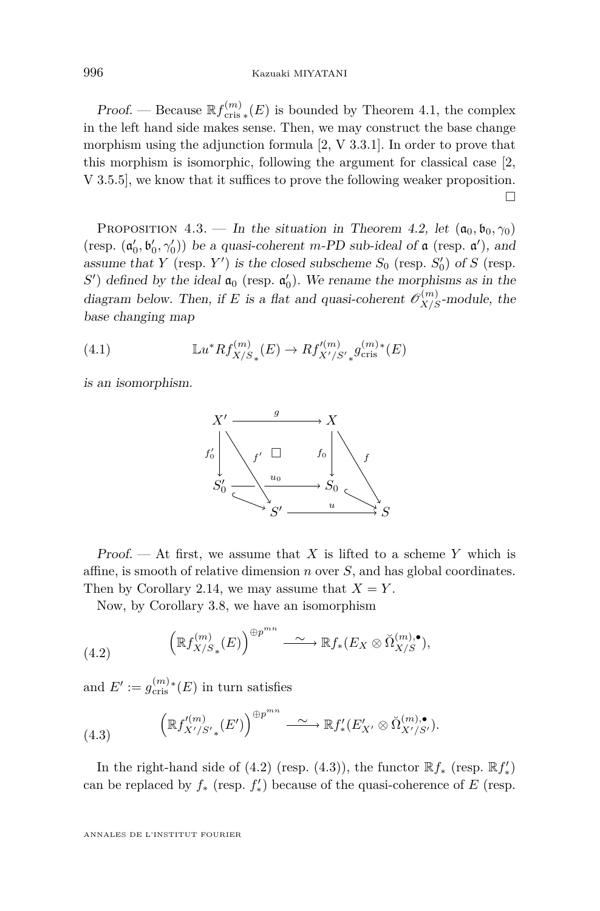<span id="page-22-0"></span>*Proof.* — Because  $\mathbb{R}f_{\text{cris}*}^{(m)}(E)$  is bounded by Theorem [4.1,](#page-20-0) the complex in the left hand side makes sense. Then, we may construct the base change morphism using the adjunction formula [\[2,](#page-29-0) V 3.3.1]. In order to prove that this morphism is isomorphic, following the argument for classical case [\[2,](#page-29-0) V 3.5.5], we know that it suffices to prove the following weaker proposition.  $\Box$ 

PROPOSITION 4.3. — In the situation in Theorem [4.2,](#page-21-0) let  $(a_0, b_0, \gamma_0)$ (resp.  $(\mathfrak{a}'_0, \mathfrak{b}'_0, \gamma'_0)$ ) be a quasi-coherent *m*-PD sub-ideal of  $\mathfrak{a}$  (resp.  $\mathfrak{a}'$ ), and assume that *Y* (resp. *Y'*) is the closed subscheme  $S_0$  (resp.  $S'_0$ ) of *S* (resp.  $S'$ ) defined by the ideal  $\mathfrak{a}_0$  (resp.  $\mathfrak{a}'_0$ ). We rename the morphisms as in the diagram below. Then, if *E* is a flat and quasi-coherent  $\mathcal{O}_{X/S}^{(m)}$ -module, the base changing map

(4.1) 
$$
\mathbb{L}u^*Rf_{X/S_*}^{(m)}(E) \to Rf_{X'/S'}^{(m)}g_{\text{cris}}^{(m)*}(E)
$$

is an isomorphism.



Proof. — At first, we assume that *X* is lifted to a scheme *Y* which is affine, is smooth of relative dimension *n* over *S*, and has global coordinates. Then by Corollary [2.14,](#page-10-0) we may assume that  $X = Y$ .

Now, by Corollary [3.8,](#page-20-0) we have an isomorphism

(4.2) 
$$
\left(\mathbb{R}f_{X/S_*}^{(m)}(E)\right)^{\oplus p^{mn}} \longrightarrow \mathbb{R}f_*(E_X \otimes \check{\Omega}_{X/S}^{(m),\bullet}),
$$

and  $E' := g_{\text{cris}}^{(m)}(E)$  in turn satisfies

(4.3) 
$$
\left(\mathbb{R}f_{X'/S'_{*}}'^{(m)}(E')\right)^{\oplus p^{mn}} \longrightarrow \mathbb{R}f'_{*}(E'_{X'} \otimes \check{\Omega}_{X'/S'}^{(m),\bullet}).
$$

In the right-hand side of  $(4.2)$  (resp.  $(4.3)$ ), the functor  $\mathbb{R}f_*$  (resp.  $\mathbb{R}f'_*$ ) can be replaced by  $f_*$  (resp.  $f'_*$ ) because of the quasi-coherence of *E* (resp.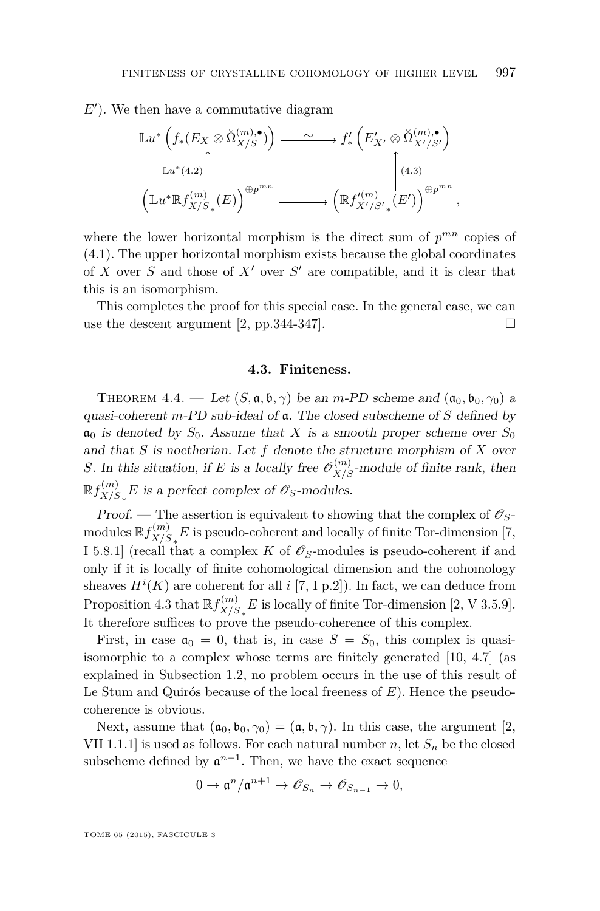<span id="page-23-0"></span> $E'$ ). We then have a commutative diagram

$$
\mathbb{L}u^*\left(f_*(E_X \otimes \check{\Omega}_{X/S}^{(m),\bullet})\right) \xrightarrow{\sim} f'_*\left(E'_{X'} \otimes \check{\Omega}_{X'/S'}^{(m),\bullet}\right)
$$

$$
\mathbb{L}u^*(4.2) \qquad \qquad \downarrow \qquad \qquad \downarrow \qquad \qquad \downarrow
$$

$$
\left(\mathbb{L}u^*\mathbb{R}f_{X/S_*}^{(m)}(E)\right)^{\oplus p^{mn}} \xrightarrow{\qquad} \left(\mathbb{R}f_{X'/S'_*}^{(m)}(E')\right)^{\oplus p^{mn}},
$$

where the lower horizontal morphism is the direct sum of  $p^{mn}$  copies of [\(4.1\)](#page-22-0). The upper horizontal morphism exists because the global coordinates of  $X$  over  $S$  and those of  $X'$  over  $S'$  are compatible, and it is clear that this is an isomorphism.

This completes the proof for this special case. In the general case, we can use the descent argument [\[2,](#page-29-0) pp. 344-347].

#### **4.3. Finiteness.**

THEOREM 4.4. — Let  $(S, \mathfrak{a}, \mathfrak{b}, \gamma)$  be an *m*-PD scheme and  $(\mathfrak{a}_0, \mathfrak{b}_0, \gamma_0)$  a quasi-coherent *m*-PD sub-ideal of a. The closed subscheme of *S* defined by  $\mathfrak{a}_0$  is denoted by  $S_0$ . Assume that X is a smooth proper scheme over  $S_0$ and that *S* is noetherian. Let *f* denote the structure morphism of *X* over *S*. In this situation, if *E* is a locally free  $\mathcal{O}_{X/S}^{(m)}$ -module of finite rank, then  $\mathbb{R}f_{X/\varsigma}^{(m)}$  $\chi_{/S_*}^{(m)} E$  is a perfect complex of  $\mathscr{O}_S$ -modules.

Proof. — The assertion is equivalent to showing that the complex of  $\mathscr{O}_S$ modules  $\mathbb{R} f_{X/S}^{(m)}$  $\binom{m}{X/S_*} E$  is pseudo-coherent and locally of finite Tor-dimension [\[7,](#page-29-0) I 5.8.1] (recall that a complex *K* of  $\mathscr{O}_S$ -modules is pseudo-coherent if and only if it is locally of finite cohomological dimension and the cohomology sheaves  $H^i(K)$  are coherent for all *i* [\[7,](#page-29-0) I p.2]). In fact, we can deduce from Proposition [4.3](#page-22-0) that  $\mathbb{R} f_{X/S}^{(m)}$  $\chi_{/S_*}^{(m)} E$  is locally of finite Tor-dimension [\[2,](#page-29-0) V 3.5.9]. It therefore suffices to prove the pseudo-coherence of this complex.

First, in case  $\mathfrak{a}_0 = 0$ , that is, in case  $S = S_0$ , this complex is quasiisomorphic to a complex whose terms are finitely generated [\[10,](#page-29-0) 4.7] (as explained in Subsection [1.2,](#page-2-0) no problem occurs in the use of this result of Le Stum and Quirós because of the local freeness of *E*). Hence the pseudocoherence is obvious.

Next, assume that  $(a_0, b_0, \gamma_0) = (a, b, \gamma)$ . In this case, the argument [\[2,](#page-29-0) VII 1.1.1] is used as follows. For each natural number *n*, let  $S_n$  be the closed subscheme defined by  $\mathfrak{a}^{n+1}$ . Then, we have the exact sequence

$$
0\to \mathfrak{a} ^n/\mathfrak{a} ^{n+1}\to \mathscr{O}_{S_n}\to \mathscr{O}_{S_{n-1}}\to 0,
$$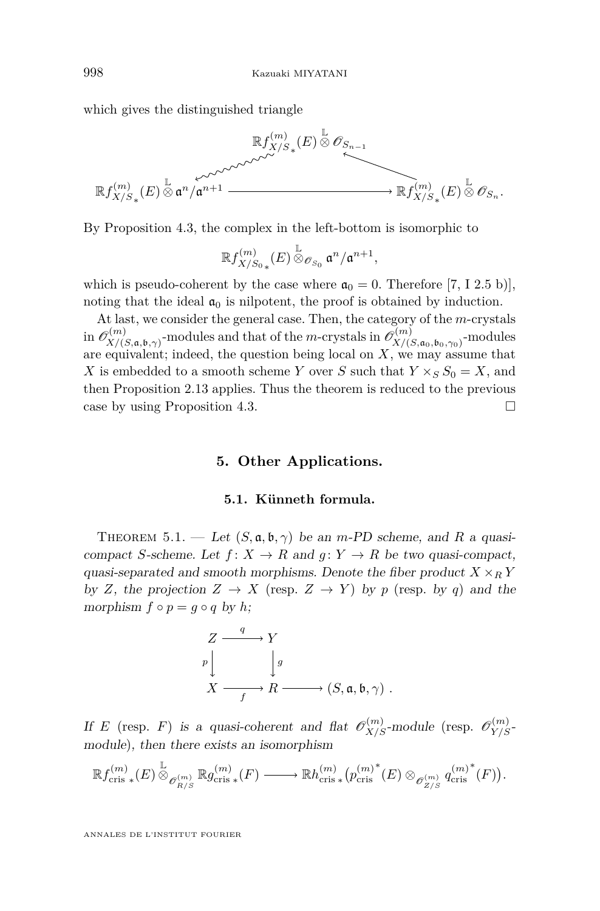<span id="page-24-0"></span>which gives the distinguished triangle



By Proposition [4.3,](#page-22-0) the complex in the left-bottom is isomorphic to

$$
{\mathbb Rf}^{(m)}_{X/S_{0\,*}}(E)\overset{\mathbb{L}}{\otimes}_{\mathscr{O}_{S_{0}}}\mathfrak{a}^{n}/\mathfrak{a}^{n+1},
$$

which is pseudo-coherent by the case where  $\mathfrak{a}_0 = 0$ . Therefore [\[7,](#page-29-0) I 2.5 b)], noting that the ideal  $a_0$  is nilpotent, the proof is obtained by induction.

At last, we consider the general case. Then, the category of the *m*-crystals in  $\mathscr{O}_{X/\mathscr{O}}^{(m)}$  $\mathcal{P}_{X/(S, \mathfrak{a}, \mathfrak{b}, \gamma)}^{(m)}$ -modules and that of the *m*-crystals in  $\mathcal{O}_{X/(S, \mathfrak{a}, \mathfrak{b}, \gamma)}^{(m)}$ *X/*(*S,*a0*,*b0*,γ*0) -modules are equivalent; indeed, the question being local on *X*, we may assume that *X* is embedded to a smooth scheme *Y* over *S* such that  $Y \times_S S_0 = X$ , and then Proposition [2.13](#page-9-0) applies. Thus the theorem is reduced to the previous case by using Proposition [4.3.](#page-22-0)

#### **5. Other Applications.**

#### **5.1. Künneth formula.**

THEOREM 5.1. — Let  $(S, \mathfrak{a}, \mathfrak{b}, \gamma)$  be an *m*-PD scheme, and R a quasicompact *S*-scheme. Let  $f: X \to R$  and  $g: Y \to R$  be two quasi-compact, quasi-separated and smooth morphisms. Denote the fiber product  $X \times_R Y$ by *Z*, the projection  $Z \rightarrow X$  (resp.  $Z \rightarrow Y$ ) by *p* (resp. by *q*) and the morphism  $f \circ p = q \circ q$  by  $h$ ;

$$
\begin{array}{ccc}\nZ & \xrightarrow{q} & Y \\
P & \downarrow g & \\
X & \xrightarrow{f} & R \xrightarrow{f} & (S, \mathfrak{a}, \mathfrak{b}, \gamma)\n\end{array}.
$$

If *E* (resp. *F*) is a quasi-coherent and flat  $\mathcal{O}_{X/S}^{(m)}$ -module (resp.  $\mathcal{O}_{Y/S}^{(m)}$ module), then there exists an isomorphism

$$
\mathbb{R}f_{\mathrm{cris}\;*}^{(m)}(E)\mathop{\otimes}\limits^{\mathbb{L}}_{\mathscr{O}_{R/S}^{(m)}}\mathbb{R}g_{\mathrm{cris}\;*}^{(m)}(F)\xrightarrow{\qquad}\mathbb{R}h_{\mathrm{cris}\;*}^{(m)}\big(p_{\mathrm{cris}\;}^{(m)^{*}}(E)\otimes_{\mathscr{O}_{Z/S}^{(m)}}q_{\mathrm{cris}\;}^{(m)^{*}}(F)\big).
$$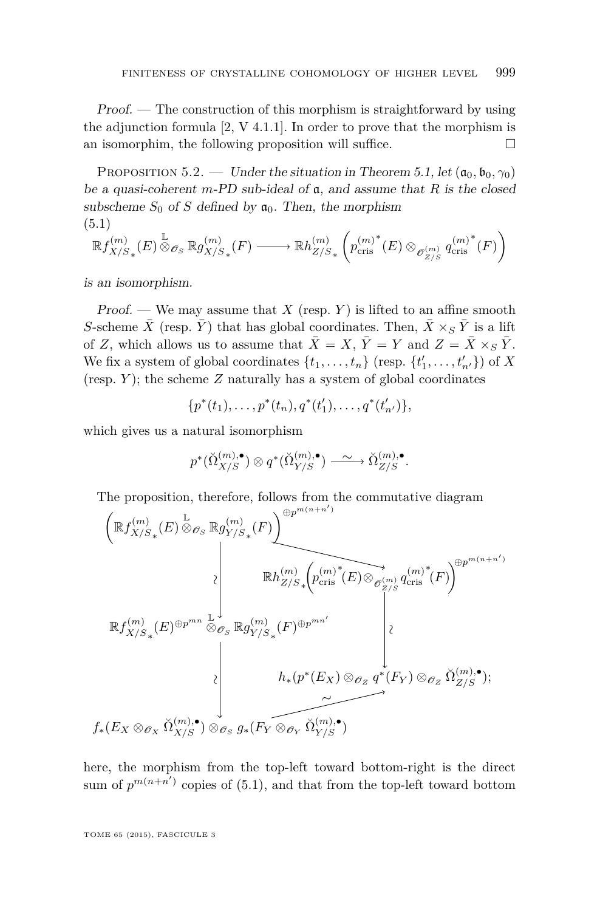Proof. — The construction of this morphism is straightforward by using the adjunction formula [\[2,](#page-29-0) V 4.1.1]. In order to prove that the morphism is an isomorphim, the following proposition will suffice.  $\Box$ 

PROPOSITION 5.2. — Under the situation in Theorem [5.1,](#page-24-0) let  $(a_0, b_0, \gamma_0)$ be a quasi-coherent *m*-PD sub-ideal of a, and assume that *R* is the closed subscheme  $S_0$  of *S* defined by  $\mathfrak{a}_0$ . Then, the morphism (5.1)

$$
\mathbb{R}f_{X/S_*}^{(m)}(E)\overset{\mathbb{L}}{\otimes}_{\mathscr{O}_S}\mathbb{R}g_{X/S_*}^{(m)}(F)\longrightarrow \mathbb{R}h_{Z/S_*}^{(m)}\left( p_{\mathrm{cris}}^{(m)^*}(E)\otimes_{\mathscr{O}_{Z/S}^{(m)}} {q_{\mathrm{cris}}^{(m)^*}(F)}\right)
$$

is an isomorphism.

Proof. — We may assume that  $X$  (resp.  $Y$ ) is lifted to an affine smooth *S*-scheme  $\bar{X}$  (resp.  $\bar{Y}$ ) that has global coordinates. Then,  $\bar{X} \times_S \bar{Y}$  is a lift of *Z*, which allows us to assume that  $\bar{X} = X$ ,  $\bar{Y} = Y$  and  $Z = \bar{X} \times_S \bar{Y}$ . We fix a system of global coordinates  $\{t_1, \ldots, t_n\}$  (resp.  $\{t'_1, \ldots, t'_{n'}\}$ ) of *X* (resp. *Y* ); the scheme *Z* naturally has a system of global coordinates

$$
\{p^*(t_1),\ldots,p^*(t_n),q^*(t'_1),\ldots,q^*(t'_{n'})\},\
$$

which gives us a natural isomorphism

$$
p^*(\breve{\Omega}_{X/S}^{(m),\bullet}) \otimes q^*(\breve{\Omega}_{Y/S}^{(m),\bullet}) \longrightarrow \breve{\Omega}_{Z/S}^{(m),\bullet}.
$$

The proposition, therefore, follows from the commutative diagram  $p_p$ *m*( $n+n$ )

$$
\begin{array}{c}\n\left(\mathbb{R}f_{X/S_*}^{(m)}(E) \overset{\mathbb{L}}{\otimes}_{\mathscr{O}_S} \mathbb{R}g_{Y/S_*}^{(m)}(F)\right)^{\oplus p} \\
\downarrow \qquad \qquad \downarrow \qquad \qquad \downarrow \qquad \qquad \downarrow \qquad \qquad \downarrow \qquad \qquad \downarrow \qquad \qquad \downarrow \qquad \qquad \downarrow \qquad \downarrow \qquad \downarrow \qquad \downarrow \qquad \downarrow \qquad \downarrow \qquad \downarrow \qquad \downarrow \qquad \downarrow \qquad \downarrow \qquad \downarrow \qquad \downarrow \qquad \downarrow \qquad \downarrow \qquad \downarrow \qquad \downarrow \qquad \downarrow \qquad \downarrow \qquad \downarrow \qquad \downarrow \qquad \downarrow \qquad \downarrow \qquad \downarrow \qquad \downarrow \qquad \downarrow \qquad \downarrow \qquad \downarrow \qquad \downarrow \qquad \downarrow \qquad \downarrow \qquad \downarrow \qquad \downarrow \qquad \downarrow \qquad \downarrow \qquad \downarrow \qquad \downarrow \qquad \downarrow \qquad \downarrow \qquad \downarrow \qquad \downarrow \qquad \downarrow \qquad \downarrow \qquad \downarrow \qquad \downarrow \qquad \downarrow \qquad \downarrow \qquad \downarrow \qquad \downarrow \qquad \downarrow \qquad \downarrow \qquad \downarrow \qquad \downarrow \qquad \downarrow \qquad \downarrow \qquad \downarrow \qquad \downarrow \qquad \downarrow \qquad \downarrow \qquad \downarrow \qquad \downarrow \qquad \downarrow \qquad \downarrow \qquad \downarrow \qquad \downarrow \qquad \downarrow \qquad \downarrow \qquad \downarrow \qquad \downarrow \qquad \downarrow \qquad \downarrow \qquad \downarrow \qquad \downarrow \qquad \downarrow \qquad \downarrow \qquad \downarrow \qquad \downarrow \qquad \downarrow \qquad \downarrow \qquad \downarrow \qquad \downarrow \qquad \downarrow \qquad \downarrow \qquad \downarrow \qquad \downarrow \qquad \downarrow \qquad \downarrow \qquad \downarrow \qquad \downarrow \qquad \downarrow \qquad \downarrow \qquad \downarrow \qquad \downarrow \qquad \downarrow \qquad \downarrow \qquad \downarrow \qquad \downarrow \qquad \downarrow \qquad \downarrow \qquad \downarrow \qquad \downarrow \qquad \downarrow \qquad \downarrow \qquad \downarrow \qquad \down
$$

here, the morphism from the top-left toward bottom-right is the direct sum of  $p^{m(n+n')}$  copies of (5.1), and that from the top-left toward bottom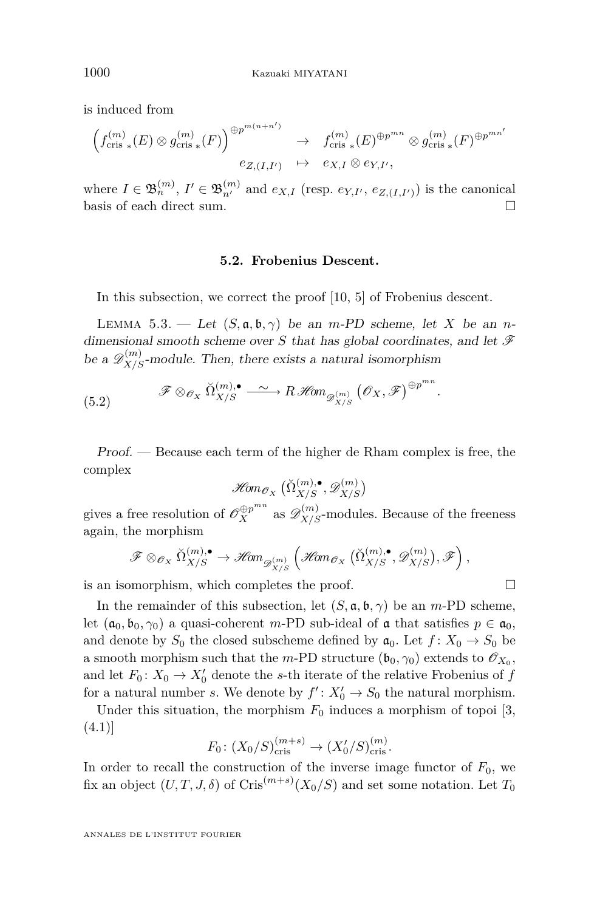<span id="page-26-0"></span>is induced from

$$
\left(f_{\text{cris}\;*}^{(m)}(E)\otimes g_{\text{cris}\;*}^{(m)}(F)\right)^{\oplus p^{m(n+n')}} \to f_{\text{cris}\;*}^{(m)}(E)^{\oplus p^{mn}} \otimes g_{\text{cris}\;*}^{(m)}(F)^{\oplus p^{mn'}}
$$

$$
e_{Z,(I,I')} \quad \mapsto \quad e_{X,I} \otimes e_{Y,I'},
$$

where  $I \in \mathfrak{B}_n^{(m)}$ ,  $I' \in \mathfrak{B}_{n'}^{(m)}$  and  $e_{X,I}$  (resp.  $e_{Y,I'}$ ,  $e_{Z,(I,I')})$ ) is the canonical basis of each direct sum.

#### **5.2. Frobenius Descent.**

In this subsection, we correct the proof [\[10,](#page-29-0) 5] of Frobenius descent.

LEMMA 5.3. — Let  $(S, \mathfrak{a}, \mathfrak{b}, \gamma)$  be an *m*-PD scheme, let *X* be an *n*dimensional smooth scheme over *S* that has global coordinates, and let  $\mathscr F$ be a  $\mathscr{D}_{X/S}^{(m)}$ -module. Then, there exists a natural isomorphism

(5.2) 
$$
\mathscr{F} \otimes_{\mathscr{O}_X} \check{\Omega}_{X/S}^{(m),\bullet} \longrightarrow R\mathscr{H}\!om_{\mathscr{D}_{X/S}^{(m)}}(\mathscr{O}_X,\mathscr{F})^{\oplus p^{mn}}.
$$

Proof. — Because each term of the higher de Rham complex is free, the complex

$$
\mathop{{\mathscr H\! om}}\nolimits_{{\mathscr O}_X}\big(\breve{\Omega}_{X/S}^{(m),\bullet}, {\mathscr D}^{(m)}_{X/S}\big)
$$

gives a free resolution of  $\mathscr{O}_X^{\oplus p^{mn}}$  as  $\mathscr{D}_{X/S}^{(m)}$ -modules. Because of the freeness again, the morphism

$$
\mathscr{F} \otimes_{\mathscr{O}_X} \check{\Omega}_{X/S}^{(m),\bullet} \to \mathscr{H}\hspace{-0.01cm}\textit{om}_{\mathscr{D}_{X/S}^{(m)}}\left(\mathscr{H}\hspace{-0.01cm}\textit{om}_{\mathscr{O}_X}\left(\check{\Omega}_{X/S}^{(m),\bullet},\mathscr{D}_{X/S}^{(m)}\right),\mathscr{F}\right),
$$

is an isomorphism, which completes the proof.

In the remainder of this subsection, let  $(S, \mathfrak{a}, \mathfrak{b}, \gamma)$  be an *m*-PD scheme, let  $(a_0, b_0, \gamma_0)$  a quasi-coherent *m*-PD sub-ideal of **a** that satisfies  $p \in \mathfrak{a}_0$ , and denote by  $S_0$  the closed subscheme defined by  $a_0$ . Let  $f: X_0 \to S_0$  be a smooth morphism such that the *m*-PD structure  $(\mathfrak{b}_0, \gamma_0)$  extends to  $\mathcal{O}_{X_0}$ , and let  $F_0: X_0 \to X'_0$  denote the *s*-th iterate of the relative Frobenius of *f* for a natural number *s*. We denote by  $f' : X'_0 \to S_0$  the natural morphism.

Under this situation, the morphism  $F_0$  induces a morphism of topoi [\[3,](#page-29-0) (4.1)]

$$
F_0: (X_0/S)_{\text{cris}}^{(m+s)} \to (X'_0/S)_{\text{cris}}^{(m)}
$$
.

In order to recall the construction of the inverse image functor of  $F_0$ , we fix an object  $(U, T, J, \delta)$  of Cris<sup> $(m+s)$ </sup> $(X_0/S)$  and set some notation. Let  $T_0$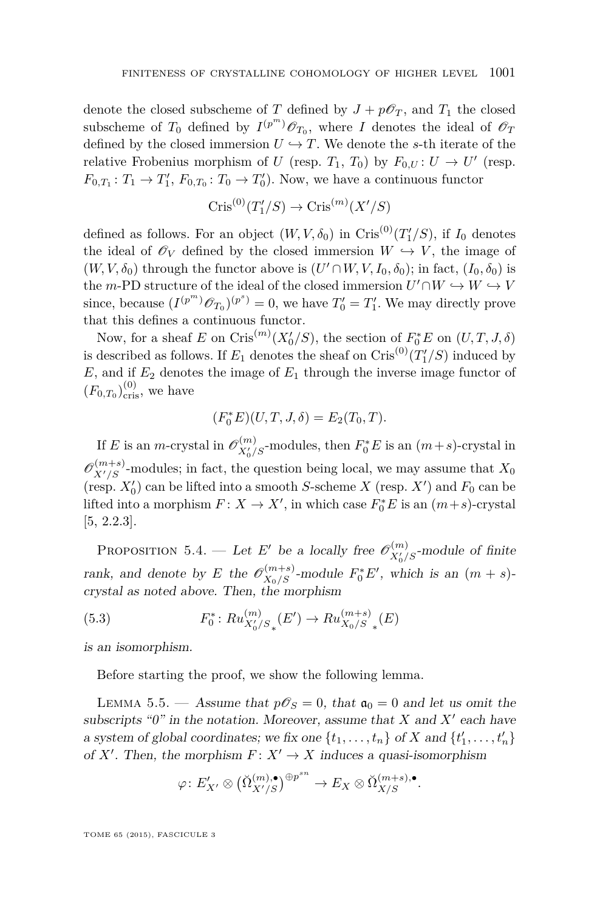<span id="page-27-0"></span>denote the closed subscheme of *T* defined by  $J + p\mathscr{O}_T$ , and  $T_1$  the closed subscheme of  $T_0$  defined by  $I^{(p^m)}\mathcal{O}_{T_0}$ , where *I* denotes the ideal of  $\mathcal{O}_T$ defined by the closed immersion  $U \hookrightarrow T$ . We denote the *s*-th iterate of the relative Frobenius morphism of *U* (resp.  $T_1$ ,  $T_0$ ) by  $F_{0,U}: U \to U'$  (resp.  $F_{0,T_1}: T_1 \to T'_1$ ,  $F_{0,T_0}: T_0 \to T'_0$ ). Now, we have a continuous functor

$$
Cris^{(0)}(T'_1/S) \to Cris^{(m)}(X'/S)
$$

defined as follows. For an object  $(W, V, \delta_0)$  in Cris<sup>(0)</sup> $(T'_1/S)$ , if  $I_0$  denotes the ideal of  $\mathscr{O}_V$  defined by the closed immersion  $W \hookrightarrow V$ , the image of  $(W, V, \delta_0)$  through the functor above is  $(U' \cap W, V, I_0, \delta_0)$ ; in fact,  $(I_0, \delta_0)$  is the *m*-PD structure of the ideal of the closed immersion  $U' \cap W \hookrightarrow W \hookrightarrow V$ since, because  $(I^{(p^m)}\mathscr{O}_{T_0})^{(p^s)} = 0$ , we have  $T'_0 = T'_1$ . We may directly prove that this defines a continuous functor.

Now, for a sheaf *E* on Cris<sup> $(m)$ </sup> $(X'_0/S)$ , the section of  $F_0^*E$  on  $(U, T, J, \delta)$ is described as follows. If  $E_1$  denotes the sheaf on  $\operatorname{Cris}^{(0)}(T_1'/S)$  induced by  $E$ , and if  $E_2$  denotes the image of  $E_1$  through the inverse image functor of  $(F_{0,T_0})_{\text{cris}}^{(0)}$ , we have

$$
(F_0^*E)(U, T, J, \delta) = E_2(T_0, T).
$$

If *E* is an *m*-crystal in  $\mathcal{O}_{X'_0/S}^{(m)}$ -modules, then  $F_0^*E$  is an  $(m+s)$ -crystal in  $\mathscr{O}_{X'/S}^{(m+s)}$ -modules; in fact, the question being local, we may assume that  $X_0$ (resp.  $X'_0$ ) can be lifted into a smooth *S*-scheme *X* (resp. *X'*) and  $F_0$  can be lifted into a morphism  $F: X \to X'$ , in which case  $F_0^*E$  is an  $(m+s)$ -crystal [\[5,](#page-29-0) 2.2.3].

PROPOSITION 5.4. — Let *E'* be a locally free  $\mathscr{O}_{X'_{0}/S}^{(m)}$ -module of finite rank, and denote by *E* the  $\mathscr{O}_{X_0/S}^{(m+s)}$ -module  $F_0^*E'$ , which is an  $(m+s)$ crystal as noted above. Then, the morphism

(5.3) 
$$
F_0^* : Ru_{X_0'/S_*}^{(m)}(E') \to Ru_{X_0/S_*}^{(m+s)}(E)
$$

is an isomorphism.

Before starting the proof, we show the following lemma.

LEMMA 5.5. — Assume that  $p\mathscr{O}_S = 0$ , that  $\mathfrak{a}_0 = 0$  and let us omit the subscripts " $0$ " in the notation. Moreover, assume that *X* and  $X'$  each have a system of global coordinates; we fix one  $\{t_1, \ldots, t_n\}$  of *X* and  $\{t'_1, \ldots, t'_n\}$ of *X'*. Then, the morphism  $F: X' \to X$  induces a quasi-isomorphism

$$
\varphi\colon E'_{X'}\otimes \big(\breve{\Omega}_{X'/S}^{(m),\bullet}\big)^{\oplus p^{sn}}\to E_X\otimes \breve{\Omega}_{X/S}^{(m+s),\bullet}.
$$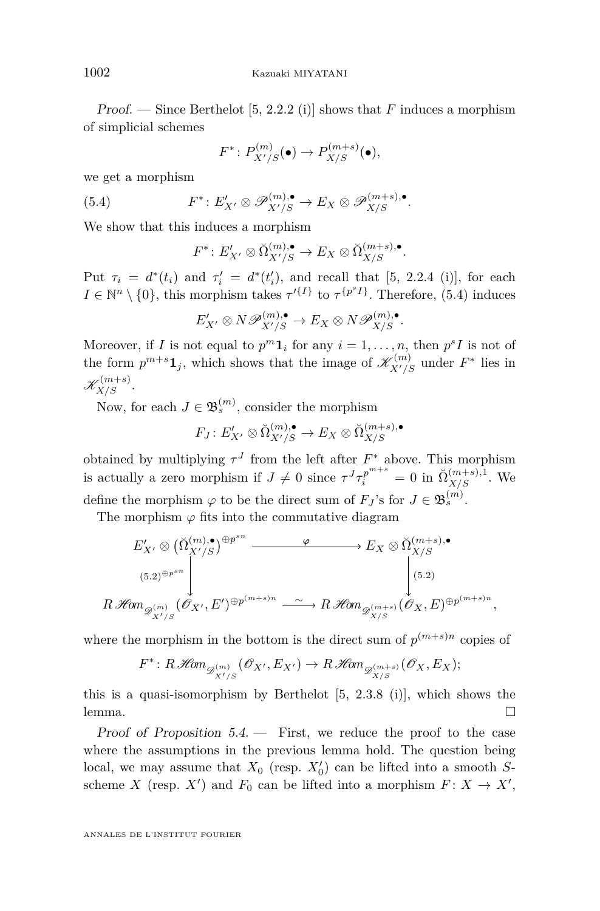Proof. — Since Berthelot [\[5,](#page-29-0) 2.2.2 (i)] shows that *F* induces a morphism of simplicial schemes

$$
F^* \colon P_{X'/S}^{(m)}(\bullet) \to P_{X/S}^{(m+s)}(\bullet),
$$

we get a morphism

(5.4) 
$$
F^*: E'_{X'} \otimes \mathscr{P}_{X'/S}^{(m),\bullet} \to E_X \otimes \mathscr{P}_{X/S}^{(m+s),\bullet}.
$$

We show that this induces a morphism

$$
F^* \colon E'_{X'} \otimes \check{\Omega}_{X'/S}^{(m), \bullet} \to E_X \otimes \check{\Omega}_{X/S}^{(m+s), \bullet}.
$$

Put  $\tau_i = d^*(t_i)$  and  $\tau'_i = d^*(t'_i)$ , and recall that [\[5,](#page-29-0) 2.2.4 (i)], for each  $I \in \mathbb{N}^n \setminus \{0\}$ , this morphism takes  $\tau'^{\{I\}}$  to  $\tau^{\{p^sI\}}$ . Therefore, (5.4) induces

$$
E'_{X'} \otimes N\mathscr{P}_{X'/S}^{(m),\bullet} \to E_X \otimes N\mathscr{P}_{X/S}^{(m),\bullet}.
$$

Moreover, if *I* is not equal to  $p^m \mathbf{1}_i$  for any  $i = 1, \ldots, n$ , then  $p^s I$  is not of the form  $p^{m+s}\mathbf{1}_j$ , which shows that the image of  $\mathscr{K}_{X'/S}^{(m)}$  under  $F^*$  lies in  $\mathscr{K}_{X/S}^{(m+s)}.$ 

Now, for each  $J \in \mathfrak{B}_s^{(m)}$ , consider the morphism

$$
F_J: E'_{X'} \otimes \check{\Omega}_{X'/S}^{(m), \bullet} \to E_X \otimes \check{\Omega}_{X/S}^{(m+s), \bullet}
$$

obtained by multiplying  $\tau^J$  from the left after  $F^*$  above. This morphism is actually a zero morphism if  $J \neq 0$  since  $\tau^{J}\tau_i^{p^{m+s}} = 0$  in  $\breve{\Omega}_{X/S}^{(m+s),1}$ . We define the morphism  $\varphi$  to be the direct sum of  $F_J$ 's for  $J \in \mathfrak{B}_s^{(m)}$ .

The morphism  $\varphi$  fits into the commutative diagram

$$
E'_{X'} \otimes (\breve{\Omega}_{X'/S}^{(m),\bullet})^{\oplus p^{sn}} \xrightarrow{\varphi} E_X \otimes \breve{\Omega}_{X/S}^{(m+s),\bullet}
$$
  
\n
$$
(5.2)^{\oplus p^{sn}} \downarrow \qquad (5.2)
$$
  
\n
$$
R\mathcal{H}\text{om}_{\mathscr{D}_{X'/S}}(\mathscr{O}_{X'}, E')^{\oplus p^{(m+s)n}} \xrightarrow{\sim} R\mathcal{H}\text{om}_{\mathscr{D}_{X/S}^{(m+s)}}(\mathscr{O}_{X}, E)^{\oplus p^{(m+s)n}},
$$

where the morphism in the bottom is the direct sum of  $p^{(m+s)n}$  copies of

$$
F^*: R\operatorname{\mathscr{H}\!\!\mathit{om}}_{\mathscr{D}^{(m)}_{X'/S}}(\mathscr{O}_{X'}, E_{X'}) \to R\operatorname{\mathscr{H}\!\!\mathit{om}}_{\mathscr{D}^{(m+s)}_{X/S}}(\mathscr{O}_X, E_X);
$$

this is a quasi-isomorphism by Berthelot [\[5,](#page-29-0) 2.3.8 (i)], which shows the lemma.  $\Box$ 

Proof of Proposition  $5.4.$  – First, we reduce the proof to the case where the assumptions in the previous lemma hold. The question being local, we may assume that  $X_0$  (resp.  $X'_0$ ) can be lifted into a smooth  $S$ scheme *X* (resp. *X'*) and  $F_0$  can be lifted into a morphism  $F: X \to X'$ ,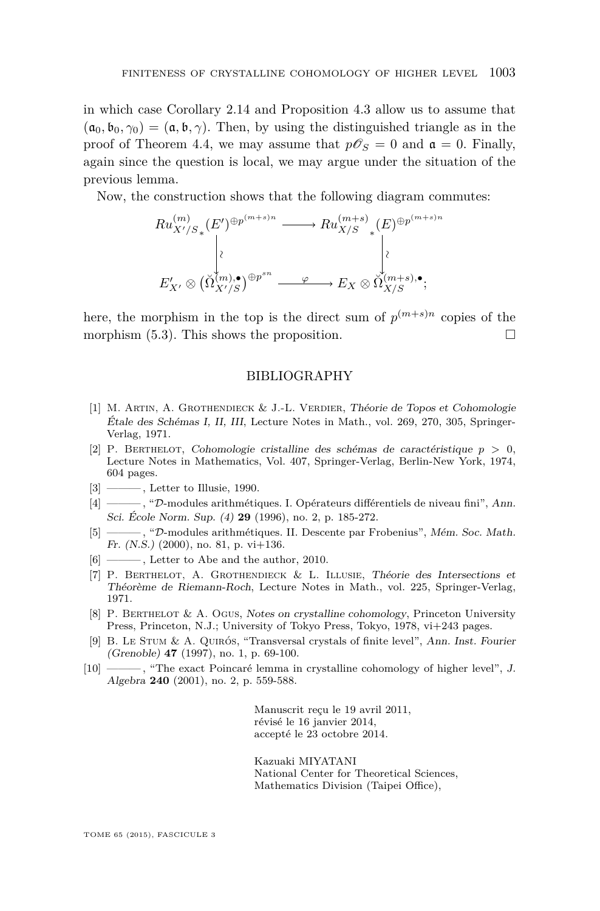<span id="page-29-0"></span>in which case Corollary [2.14](#page-10-0) and Proposition [4.3](#page-22-0) allow us to assume that  $(a_0, b_0, \gamma_0) = (a, b, \gamma)$ . Then, by using the distinguished triangle as in the proof of Theorem [4.4,](#page-23-0) we may assume that  $p\mathscr{O}_S = 0$  and  $\mathfrak{a} = 0$ . Finally, again since the question is local, we may argue under the situation of the previous lemma.

Now, the construction shows that the following diagram commutes:

$$
Ru_{X'/S_*}^{(m)}(E')^{\oplus p^{(m+s)n}} \longrightarrow Ru_{X/S}^{(m+s)}(E)^{\oplus p^{(m+s)n}}
$$
  
\n
$$
\downarrow \qquad \qquad \downarrow
$$
  
\n
$$
E'_{X'} \otimes (\check{\Omega}_{X'/S}^{(m),\bullet})^{\oplus p^{sn}} \longrightarrow E_X \otimes \check{\Omega}_{X/S}^{(m+s),\bullet};
$$

here, the morphism in the top is the direct sum of  $p^{(m+s)n}$  copies of the morphism  $(5.3)$ . This shows the proposition.

#### BIBLIOGRAPHY

- [1] M. ARTIN, A. GROTHENDIECK & J.-L. VERDIER, Théorie de Topos et Cohomologie Étale des Schémas I, II, III, Lecture Notes in Math., vol. 269, 270, 305, Springer-Verlag, 1971.
- [2] P. BERTHELOT, Cohomologie cristalline des schémas de caractéristique  $p > 0$ , Lecture Notes in Mathematics, Vol. 407, Springer-Verlag, Berlin-New York, 1974, 604 pages.
- $[3] \longrightarrow$ , Letter to Illusie, 1990.
- [4] ——— , "D-modules arithmétiques. I. Opérateurs différentiels de niveau fini", Ann. Sci. École Norm. Sup. (4) **29** (1996), no. 2, p. 185-272.
- [5] ——— , "D-modules arithmétiques. II. Descente par Frobenius", Mém. Soc. Math. Fr.  $(N.S.)$  (2000), no. 81, p. vi $+136$ .
- [6] ———, Letter to Abe and the author, 2010.
- [7] P. Berthelot, A. Grothendieck & L. Illusie, Théorie des Intersections et Théorème de Riemann-Roch, Lecture Notes in Math., vol. 225, Springer-Verlag, 1971.
- [8] P. BERTHELOT & A. OGUS, Notes on crystalline cohomology, Princeton University Press, Princeton, N.J.; University of Tokyo Press, Tokyo, 1978, vi+243 pages.
- [9] B. Le Stum & A. Quirós, "Transversal crystals of finite level", Ann. Inst. Fourier (Grenoble) **47** (1997), no. 1, p. 69-100.
- [10] ——— , "The exact Poincaré lemma in crystalline cohomology of higher level", J. Algebra **240** (2001), no. 2, p. 559-588.

Manuscrit reçu le 19 avril 2011, révisé le 16 janvier 2014, accepté le 23 octobre 2014.

Kazuaki MIYATANI National Center for Theoretical Sciences, Mathematics Division (Taipei Office),